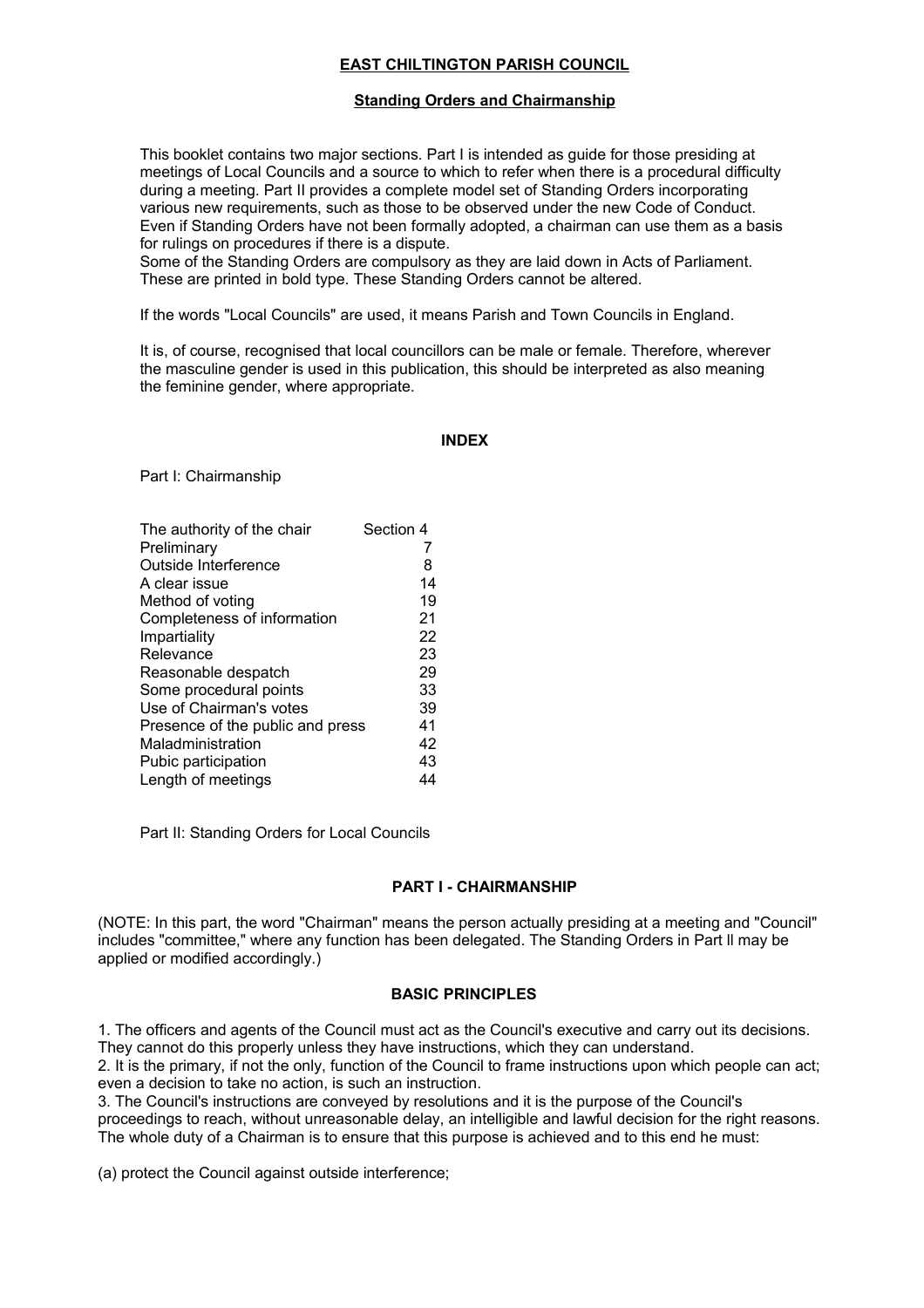## **EAST CHILTINGTON PARISH COUNCIL**

## **Standing Orders and Chairmanship**

This booklet contains two major sections. Part I is intended as guide for those presiding at meetings of Local Councils and a source to which to refer when there is a procedural difficulty during a meeting. Part II provides a complete model set of Standing Orders incorporating various new requirements, such as those to be observed under the new Code of Conduct. Even if Standing Orders have not been formally adopted, a chairman can use them as a basis for rulings on procedures if there is a dispute.

Some of the Standing Orders are compulsory as they are laid down in Acts of Parliament. These are printed in bold type. These Standing Orders cannot be altered.

If the words "Local Councils" are used, it means Parish and Town Councils in England.

It is, of course, recognised that local councillors can be male or female. Therefore, wherever the masculine gender is used in this publication, this should be interpreted as also meaning the feminine gender, where appropriate.

#### **INDEX**

Part I: Chairmanship

| The authority of the chair       | Section 4 |
|----------------------------------|-----------|
| Preliminary                      | 7         |
| Outside Interference             | 8         |
| A clear issue                    | 14        |
| Method of voting                 | 19        |
| Completeness of information      | 21        |
| Impartiality                     | 22        |
| Relevance                        | 23        |
| Reasonable despatch              | 29        |
| Some procedural points           | 33        |
| Use of Chairman's votes          | 39        |
| Presence of the public and press | 41        |
| Maladministration                | 42        |
| Pubic participation              | 43        |
| Length of meetings               | 44        |

Part II: Standing Orders for Local Councils

## **PART I - CHAIRMANSHIP**

(NOTE: In this part, the word "Chairman" means the person actually presiding at a meeting and "Council" includes "committee," where any function has been delegated. The Standing Orders in Part ll may be applied or modified accordingly.)

#### **BASIC PRINCIPLES**

1. The officers and agents of the Council must act as the Council's executive and carry out its decisions. They cannot do this properly unless they have instructions, which they can understand.

2. It is the primary, if not the only, function of the Council to frame instructions upon which people can act; even a decision to take no action, is such an instruction.

3. The Council's instructions are conveyed by resolutions and it is the purpose of the Council's

proceedings to reach, without unreasonable delay, an intelligible and lawful decision for the right reasons. The whole duty of a Chairman is to ensure that this purpose is achieved and to this end he must:

(a) protect the Council against outside interference;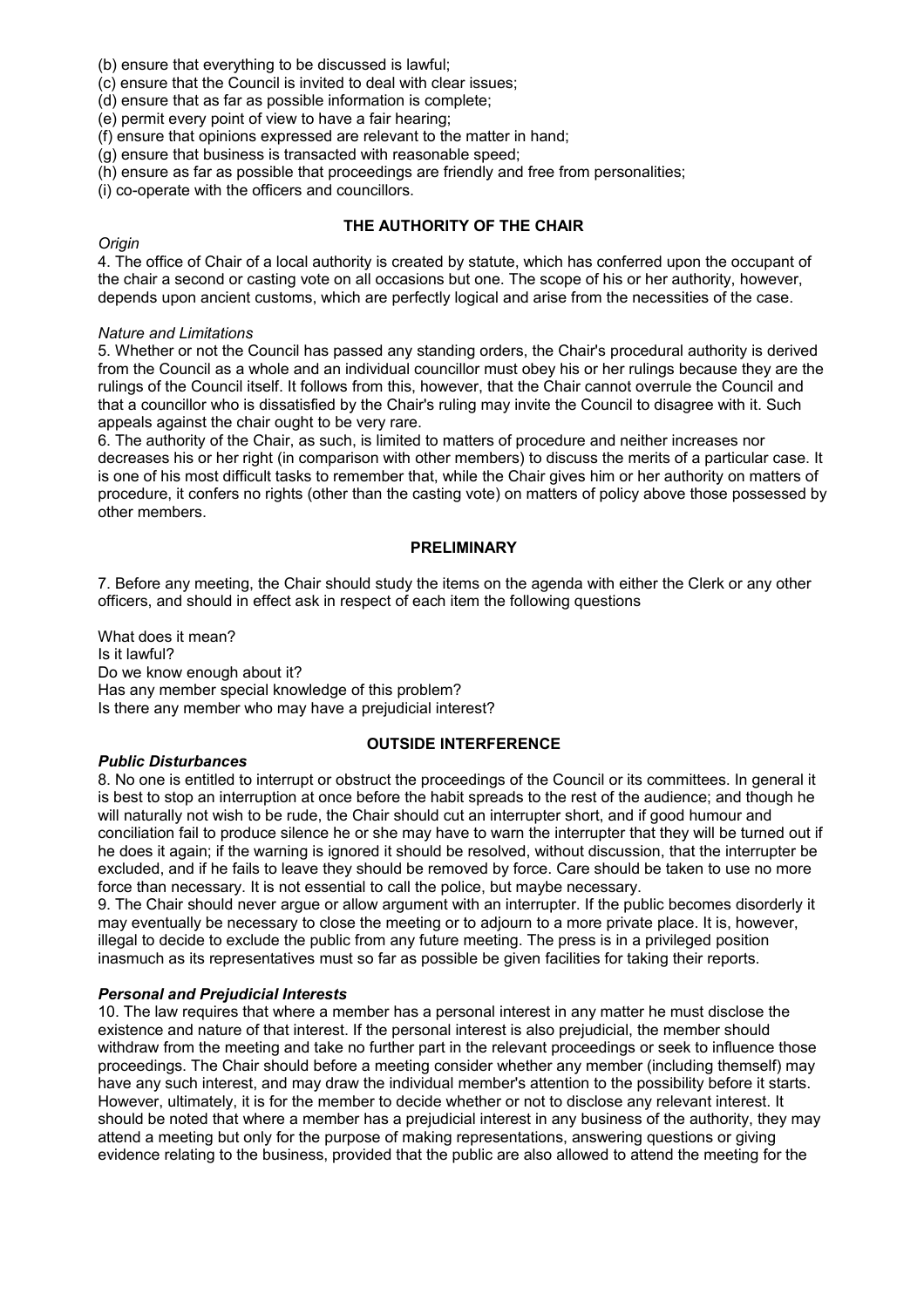(b) ensure that everything to be discussed is lawful;

(c) ensure that the Council is invited to deal with clear issues;

(d) ensure that as far as possible information is complete;

(e) permit every point of view to have a fair hearing;

(f) ensure that opinions expressed are relevant to the matter in hand;

(g) ensure that business is transacted with reasonable speed;

(h) ensure as far as possible that proceedings are friendly and free from personalities;

(i) co-operate with the officers and councillors.

## **THE AUTHORITY OF THE CHAIR**

### *Origin*

4. The office of Chair of a local authority is created by statute, which has conferred upon the occupant of the chair a second or casting vote on all occasions but one. The scope of his or her authority, however, depends upon ancient customs, which are perfectly logical and arise from the necessities of the case.

### *Nature and Limitations*

5. Whether or not the Council has passed any standing orders, the Chair's procedural authority is derived from the Council as a whole and an individual councillor must obey his or her rulings because they are the rulings of the Council itself. It follows from this, however, that the Chair cannot overrule the Council and that a councillor who is dissatisfied by the Chair's ruling may invite the Council to disagree with it. Such appeals against the chair ought to be very rare.

6. The authority of the Chair, as such, is limited to matters of procedure and neither increases nor decreases his or her right (in comparison with other members) to discuss the merits of a particular case. It is one of his most difficult tasks to remember that, while the Chair gives him or her authority on matters of procedure, it confers no rights (other than the casting vote) on matters of policy above those possessed by other members.

## **PRELIMINARY**

7. Before any meeting, the Chair should study the items on the agenda with either the Clerk or any other officers, and should in effect ask in respect of each item the following questions

What does it mean? Is it lawful? Do we know enough about it? Has any member special knowledge of this problem? Is there any member who may have a prejudicial interest?

## *Public Disturbances*

## **OUTSIDE INTERFERENCE**

8. No one is entitled to interrupt or obstruct the proceedings of the Council or its committees. In general it is best to stop an interruption at once before the habit spreads to the rest of the audience; and though he will naturally not wish to be rude, the Chair should cut an interrupter short, and if good humour and conciliation fail to produce silence he or she may have to warn the interrupter that they will be turned out if he does it again; if the warning is ignored it should be resolved, without discussion, that the interrupter be excluded, and if he fails to leave they should be removed by force. Care should be taken to use no more force than necessary. It is not essential to call the police, but maybe necessary.

9. The Chair should never argue or allow argument with an interrupter. If the public becomes disorderly it may eventually be necessary to close the meeting or to adjourn to a more private place. It is, however, illegal to decide to exclude the public from any future meeting. The press is in a privileged position inasmuch as its representatives must so far as possible be given facilities for taking their reports.

## *Personal and Prejudicial Interests*

10. The law requires that where a member has a personal interest in any matter he must disclose the existence and nature of that interest. If the personal interest is also prejudicial, the member should withdraw from the meeting and take no further part in the relevant proceedings or seek to influence those proceedings. The Chair should before a meeting consider whether any member (including themself) may have any such interest, and may draw the individual member's attention to the possibility before it starts. However, ultimately, it is for the member to decide whether or not to disclose any relevant interest. It should be noted that where a member has a prejudicial interest in any business of the authority, they may attend a meeting but only for the purpose of making representations, answering questions or giving evidence relating to the business, provided that the public are also allowed to attend the meeting for the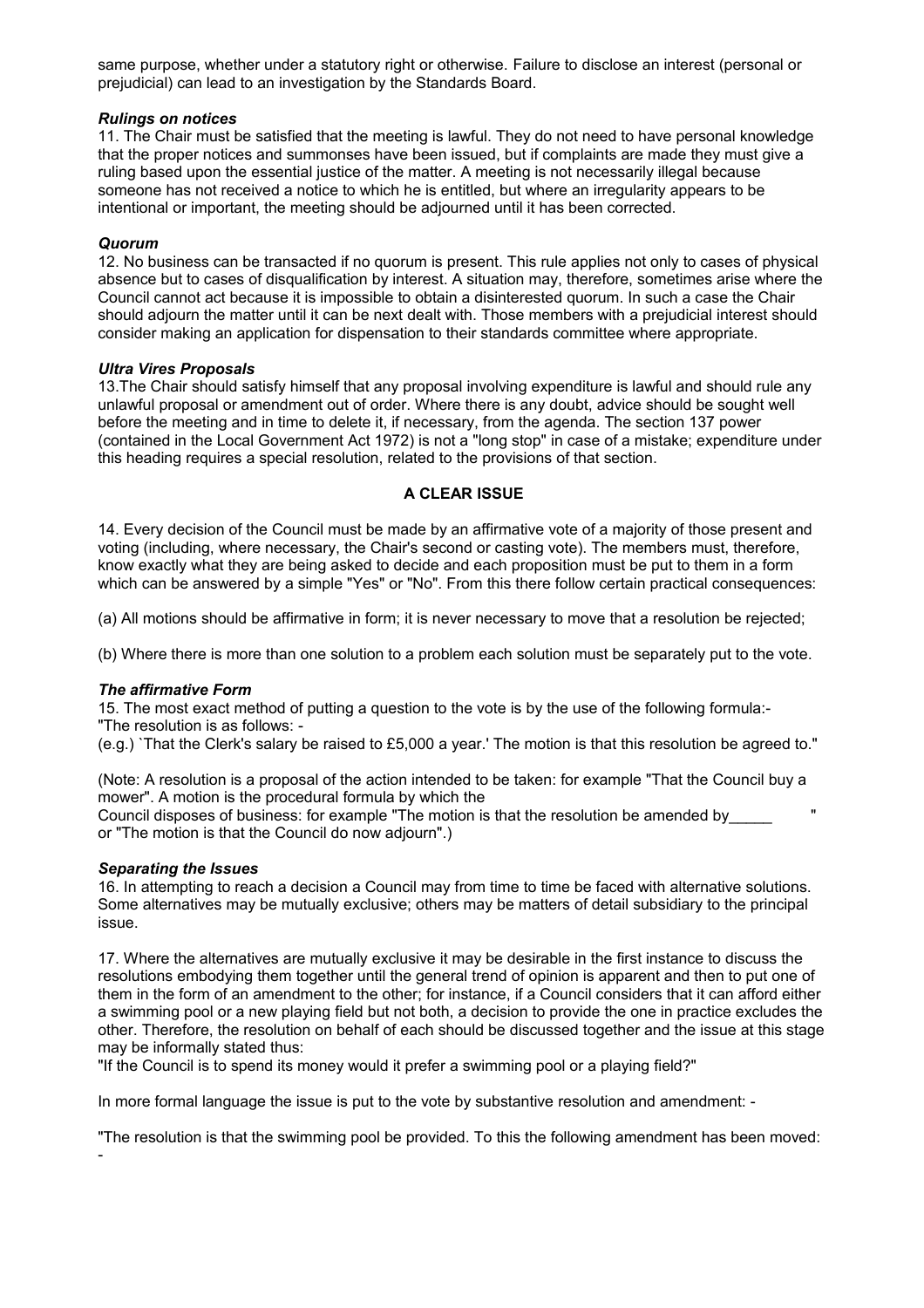same purpose, whether under a statutory right or otherwise. Failure to disclose an interest (personal or prejudicial) can lead to an investigation by the Standards Board.

#### *Rulings on notices*

11. The Chair must be satisfied that the meeting is lawful. They do not need to have personal knowledge that the proper notices and summonses have been issued, but if complaints are made they must give a ruling based upon the essential justice of the matter. A meeting is not necessarily illegal because someone has not received a notice to which he is entitled, but where an irregularity appears to be intentional or important, the meeting should be adjourned until it has been corrected.

### *Quorum*

12. No business can be transacted if no quorum is present. This rule applies not only to cases of physical absence but to cases of disqualification by interest. A situation may, therefore, sometimes arise where the Council cannot act because it is impossible to obtain a disinterested quorum. In such a case the Chair should adjourn the matter until it can be next dealt with. Those members with a prejudicial interest should consider making an application for dispensation to their standards committee where appropriate.

#### *Ultra Vires Proposals*

13.The Chair should satisfy himself that any proposal involving expenditure is lawful and should rule any unlawful proposal or amendment out of order. Where there is any doubt, advice should be sought well before the meeting and in time to delete it, if necessary, from the agenda. The section 137 power (contained in the Local Government Act 1972) is not a "long stop" in case of a mistake; expenditure under this heading requires a special resolution, related to the provisions of that section.

## **A CLEAR ISSUE**

14. Every decision of the Council must be made by an affirmative vote of a majority of those present and voting (including, where necessary, the Chair's second or casting vote). The members must, therefore, know exactly what they are being asked to decide and each proposition must be put to them in a form which can be answered by a simple "Yes" or "No". From this there follow certain practical consequences:

(a) All motions should be affirmative in form; it is never necessary to move that a resolution be rejected;

(b) Where there is more than one solution to a problem each solution must be separately put to the vote.

## *The affirmative Form*

15. The most exact method of putting a question to the vote is by the use of the following formula:- "The resolution is as follows: -

(e.g.) `That the Clerk's salary be raised to £5,000 a year.' The motion is that this resolution be agreed to."

(Note: A resolution is a proposal of the action intended to be taken: for example "That the Council buy a mower". A motion is the procedural formula by which the

Council disposes of business: for example "The motion is that the resolution be amended by\_\_\_\_\_ " or "The motion is that the Council do now adjourn".)

## *Separating the Issues*

16. In attempting to reach a decision a Council may from time to time be faced with alternative solutions. Some alternatives may be mutually exclusive; others may be matters of detail subsidiary to the principal issue.

17. Where the alternatives are mutually exclusive it may be desirable in the first instance to discuss the resolutions embodying them together until the general trend of opinion is apparent and then to put one of them in the form of an amendment to the other; for instance, if a Council considers that it can afford either a swimming pool or a new playing field but not both, a decision to provide the one in practice excludes the other. Therefore, the resolution on behalf of each should be discussed together and the issue at this stage may be informally stated thus:

"If the Council is to spend its money would it prefer a swimming pool or a playing field?"

In more formal language the issue is put to the vote by substantive resolution and amendment: -

"The resolution is that the swimming pool be provided. To this the following amendment has been moved: -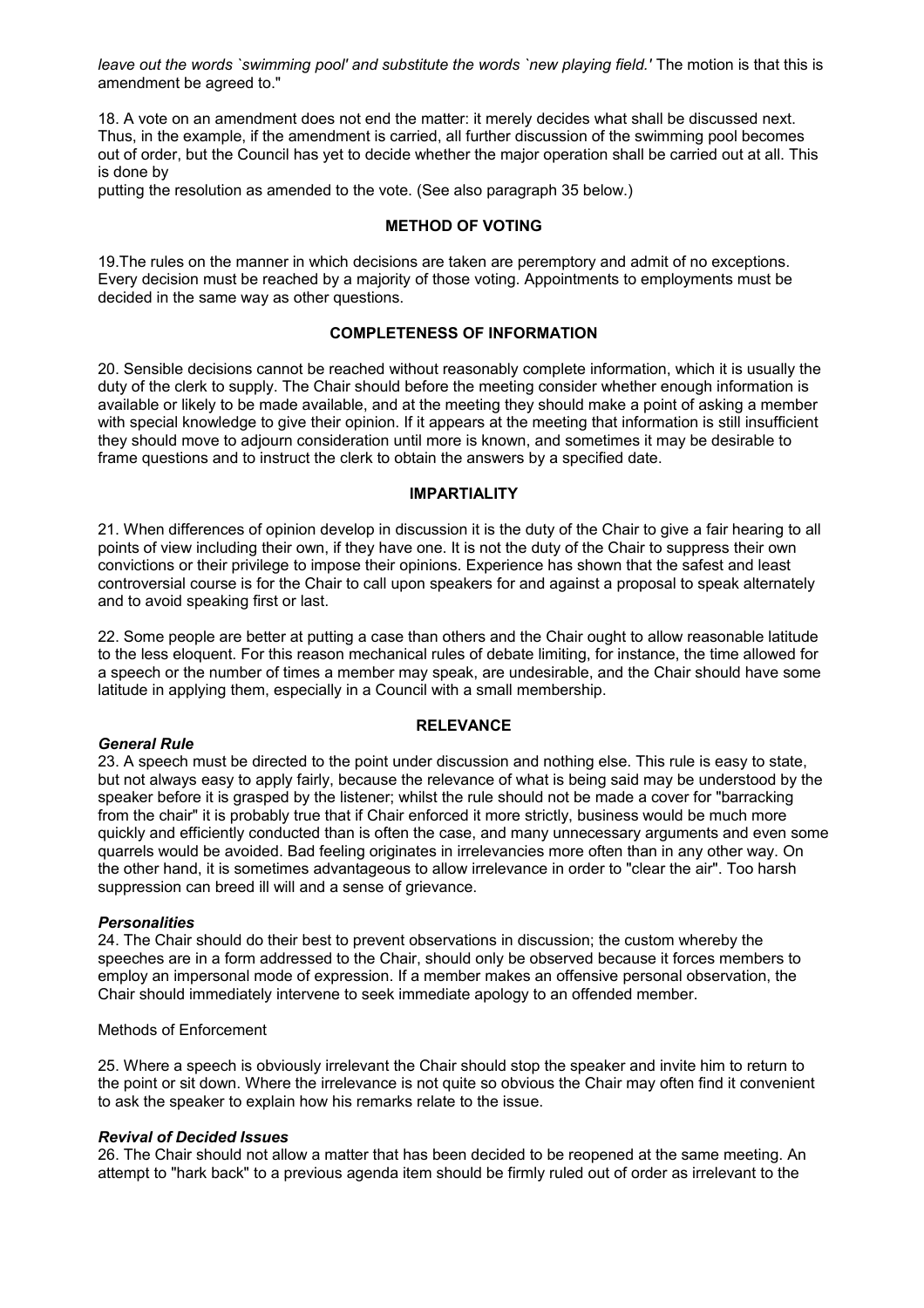*leave out the words `swimming pool' and substitute the words `new playing field.'* The motion is that this is amendment be agreed to."

18. A vote on an amendment does not end the matter: it merely decides what shall be discussed next. Thus, in the example, if the amendment is carried, all further discussion of the swimming pool becomes out of order, but the Council has yet to decide whether the major operation shall be carried out at all. This is done by

putting the resolution as amended to the vote. (See also paragraph 35 below.)

#### **METHOD OF VOTING**

19.The rules on the manner in which decisions are taken are peremptory and admit of no exceptions. Every decision must be reached by a majority of those voting. Appointments to employments must be decided in the same way as other questions.

#### **COMPLETENESS OF INFORMATION**

20. Sensible decisions cannot be reached without reasonably complete information, which it is usually the duty of the clerk to supply. The Chair should before the meeting consider whether enough information is available or likely to be made available, and at the meeting they should make a point of asking a member with special knowledge to give their opinion. If it appears at the meeting that information is still insufficient they should move to adjourn consideration until more is known, and sometimes it may be desirable to frame questions and to instruct the clerk to obtain the answers by a specified date.

#### **IMPARTIALITY**

21. When differences of opinion develop in discussion it is the duty of the Chair to give a fair hearing to all points of view including their own, if they have one. It is not the duty of the Chair to suppress their own convictions or their privilege to impose their opinions. Experience has shown that the safest and least controversial course is for the Chair to call upon speakers for and against a proposal to speak alternately and to avoid speaking first or last.

22. Some people are better at putting a case than others and the Chair ought to allow reasonable latitude to the less eloquent. For this reason mechanical rules of debate limiting, for instance, the time allowed for a speech or the number of times a member may speak, are undesirable, and the Chair should have some latitude in applying them, especially in a Council with a small membership.

#### **RELEVANCE**

#### *General Rule*

23. A speech must be directed to the point under discussion and nothing else. This rule is easy to state, but not always easy to apply fairly, because the relevance of what is being said may be understood by the speaker before it is grasped by the listener; whilst the rule should not be made a cover for "barracking from the chair" it is probably true that if Chair enforced it more strictly, business would be much more quickly and efficiently conducted than is often the case, and many unnecessary arguments and even some quarrels would be avoided. Bad feeling originates in irrelevancies more often than in any other way. On the other hand, it is sometimes advantageous to allow irrelevance in order to "clear the air". Too harsh suppression can breed ill will and a sense of grievance.

#### *Personalities*

24. The Chair should do their best to prevent observations in discussion; the custom whereby the speeches are in a form addressed to the Chair, should only be observed because it forces members to employ an impersonal mode of expression. If a member makes an offensive personal observation, the Chair should immediately intervene to seek immediate apology to an offended member.

#### Methods of Enforcement

25. Where a speech is obviously irrelevant the Chair should stop the speaker and invite him to return to the point or sit down. Where the irrelevance is not quite so obvious the Chair may often find it convenient to ask the speaker to explain how his remarks relate to the issue.

#### *Revival of Decided Issues*

26. The Chair should not allow a matter that has been decided to be reopened at the same meeting. An attempt to "hark back" to a previous agenda item should be firmly ruled out of order as irrelevant to the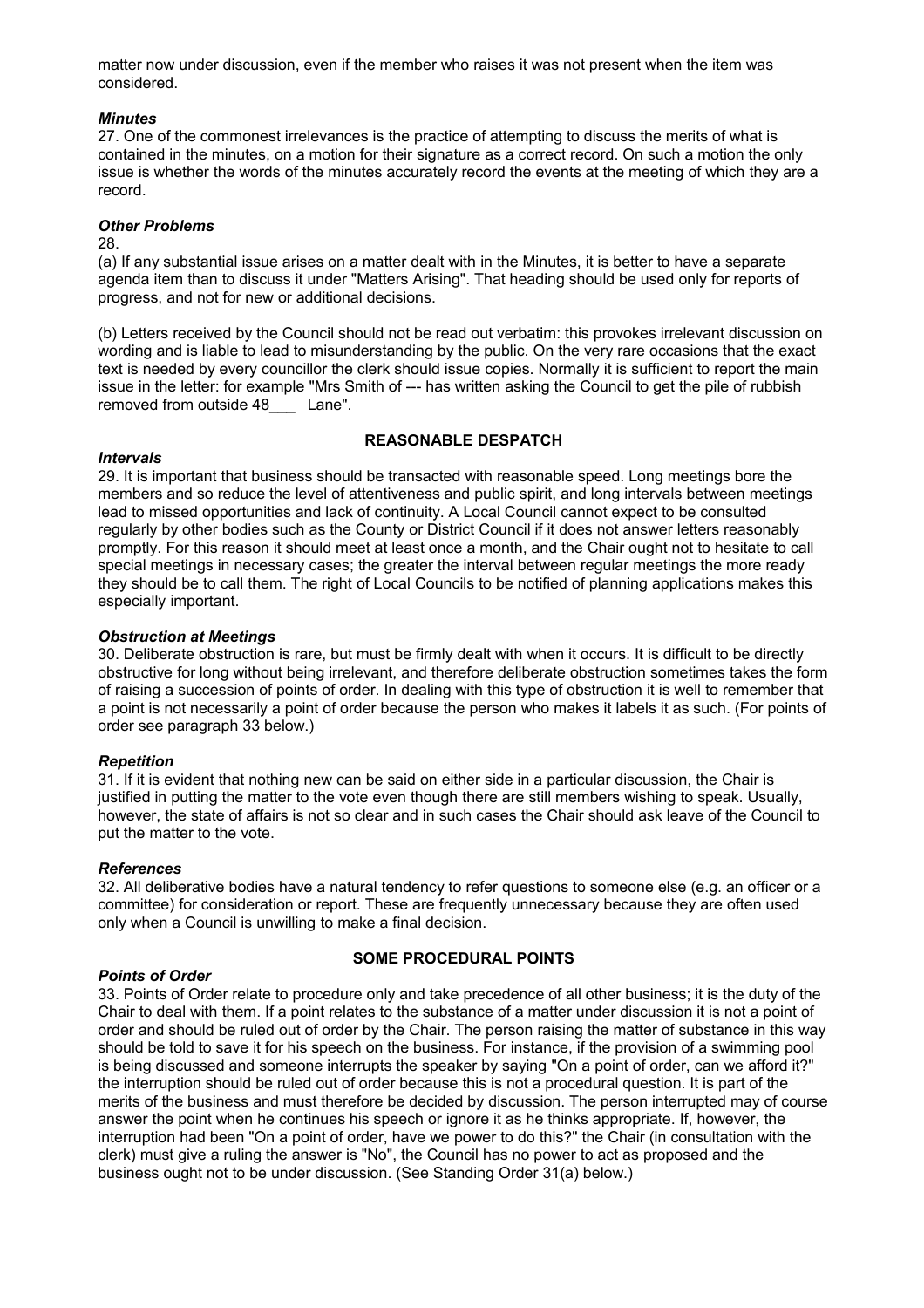matter now under discussion, even if the member who raises it was not present when the item was considered.

### *Minutes*

27. One of the commonest irrelevances is the practice of attempting to discuss the merits of what is contained in the minutes, on a motion for their signature as a correct record. On such a motion the only issue is whether the words of the minutes accurately record the events at the meeting of which they are a record.

### *Other Problems*

#### 28.

(a) If any substantial issue arises on a matter dealt with in the Minutes, it is better to have a separate agenda item than to discuss it under "Matters Arising". That heading should be used only for reports of progress, and not for new or additional decisions.

(b) Letters received by the Council should not be read out verbatim: this provokes irrelevant discussion on wording and is liable to lead to misunderstanding by the public. On the very rare occasions that the exact text is needed by every councillor the clerk should issue copies. Normally it is sufficient to report the main issue in the letter: for example "Mrs Smith of --- has written asking the Council to get the pile of rubbish removed from outside 48\_\_\_ Lane".

## **REASONABLE DESPATCH**

### *Intervals*

29. It is important that business should be transacted with reasonable speed. Long meetings bore the members and so reduce the level of attentiveness and public spirit, and long intervals between meetings lead to missed opportunities and lack of continuity. A Local Council cannot expect to be consulted regularly by other bodies such as the County or District Council if it does not answer letters reasonably promptly. For this reason it should meet at least once a month, and the Chair ought not to hesitate to call special meetings in necessary cases; the greater the interval between regular meetings the more ready they should be to call them. The right of Local Councils to be notified of planning applications makes this especially important.

### *Obstruction at Meetings*

30. Deliberate obstruction is rare, but must be firmly dealt with when it occurs. It is difficult to be directly obstructive for long without being irrelevant, and therefore deliberate obstruction sometimes takes the form of raising a succession of points of order. In dealing with this type of obstruction it is well to remember that a point is not necessarily a point of order because the person who makes it labels it as such. (For points of order see paragraph 33 below.)

#### *Repetition*

31. If it is evident that nothing new can be said on either side in a particular discussion, the Chair is justified in putting the matter to the vote even though there are still members wishing to speak. Usually, however, the state of affairs is not so clear and in such cases the Chair should ask leave of the Council to put the matter to the vote.

#### *References*

32. All deliberative bodies have a natural tendency to refer questions to someone else (e.g. an officer or a committee) for consideration or report. These are frequently unnecessary because they are often used only when a Council is unwilling to make a final decision.

## *Points of Order*

## **SOME PROCEDURAL POINTS**

33. Points of Order relate to procedure only and take precedence of all other business; it is the duty of the Chair to deal with them. If a point relates to the substance of a matter under discussion it is not a point of order and should be ruled out of order by the Chair. The person raising the matter of substance in this way should be told to save it for his speech on the business. For instance, if the provision of a swimming pool is being discussed and someone interrupts the speaker by saying "On a point of order, can we afford it?" the interruption should be ruled out of order because this is not a procedural question. It is part of the merits of the business and must therefore be decided by discussion. The person interrupted may of course answer the point when he continues his speech or ignore it as he thinks appropriate. If, however, the interruption had been "On a point of order, have we power to do this?" the Chair (in consultation with the clerk) must give a ruling the answer is "No", the Council has no power to act as proposed and the business ought not to be under discussion. (See Standing Order 31(a) below.)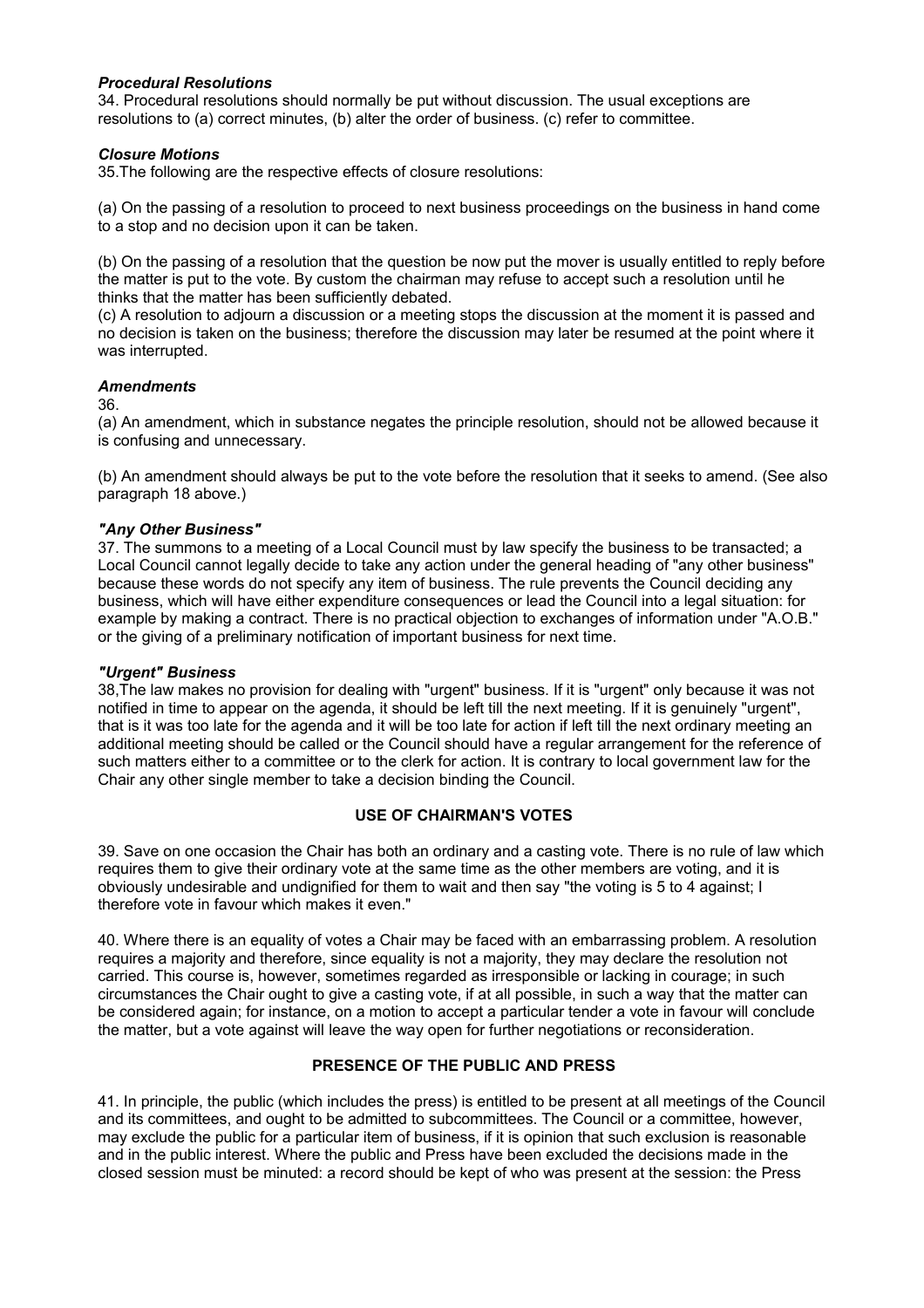### *Procedural Resolutions*

34. Procedural resolutions should normally be put without discussion. The usual exceptions are resolutions to (a) correct minutes, (b) alter the order of business. (c) refer to committee.

## *Closure Motions*

35.The following are the respective effects of closure resolutions:

(a) On the passing of a resolution to proceed to next business proceedings on the business in hand come to a stop and no decision upon it can be taken.

(b) On the passing of a resolution that the question be now put the mover is usually entitled to reply before the matter is put to the vote. By custom the chairman may refuse to accept such a resolution until he thinks that the matter has been sufficiently debated.

(c) A resolution to adjourn a discussion or a meeting stops the discussion at the moment it is passed and no decision is taken on the business; therefore the discussion may later be resumed at the point where it was interrupted.

### *Amendments*

36.

(a) An amendment, which in substance negates the principle resolution, should not be allowed because it is confusing and unnecessary.

(b) An amendment should always be put to the vote before the resolution that it seeks to amend. (See also paragraph 18 above.)

### *"Any Other Business"*

37. The summons to a meeting of a Local Council must by law specify the business to be transacted; a Local Council cannot legally decide to take any action under the general heading of "any other business" because these words do not specify any item of business. The rule prevents the Council deciding any business, which will have either expenditure consequences or lead the Council into a legal situation: for example by making a contract. There is no practical objection to exchanges of information under "A.O.B." or the giving of a preliminary notification of important business for next time.

## *"Urgent" Business*

38,The law makes no provision for dealing with "urgent" business. If it is "urgent" only because it was not notified in time to appear on the agenda, it should be left till the next meeting. If it is genuinely "urgent", that is it was too late for the agenda and it will be too late for action if left till the next ordinary meeting an additional meeting should be called or the Council should have a regular arrangement for the reference of such matters either to a committee or to the clerk for action. It is contrary to local government law for the Chair any other single member to take a decision binding the Council.

## **USE OF CHAIRMAN'S VOTES**

39. Save on one occasion the Chair has both an ordinary and a casting vote. There is no rule of law which requires them to give their ordinary vote at the same time as the other members are voting, and it is obviously undesirable and undignified for them to wait and then say "the voting is 5 to 4 against; I therefore vote in favour which makes it even."

40. Where there is an equality of votes a Chair may be faced with an embarrassing problem. A resolution requires a majority and therefore, since equality is not a majority, they may declare the resolution not carried. This course is, however, sometimes regarded as irresponsible or lacking in courage; in such circumstances the Chair ought to give a casting vote, if at all possible, in such a way that the matter can be considered again; for instance, on a motion to accept a particular tender a vote in favour will conclude the matter, but a vote against will leave the way open for further negotiations or reconsideration.

## **PRESENCE OF THE PUBLIC AND PRESS**

41. In principle, the public (which includes the press) is entitled to be present at all meetings of the Council and its committees, and ought to be admitted to subcommittees. The Council or a committee, however, may exclude the public for a particular item of business, if it is opinion that such exclusion is reasonable and in the public interest. Where the public and Press have been excluded the decisions made in the closed session must be minuted: a record should be kept of who was present at the session: the Press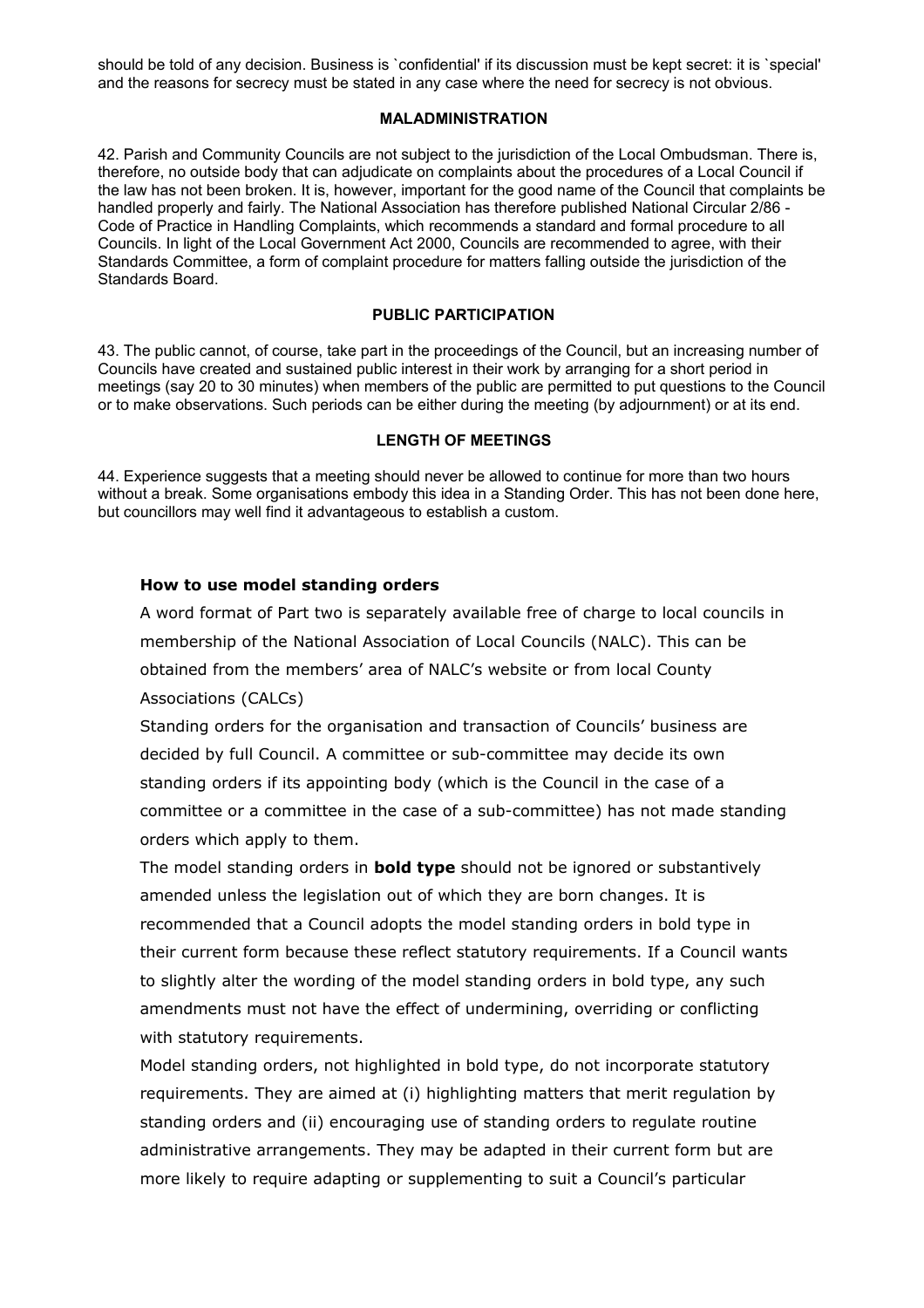should be told of any decision. Business is `confidential' if its discussion must be kept secret: it is `special' and the reasons for secrecy must be stated in any case where the need for secrecy is not obvious.

#### **MALADMINISTRATION**

42. Parish and Community Councils are not subject to the jurisdiction of the Local Ombudsman. There is, therefore, no outside body that can adjudicate on complaints about the procedures of a Local Council if the law has not been broken. It is, however, important for the good name of the Council that complaints be handled properly and fairly. The National Association has therefore published National Circular 2/86 - Code of Practice in Handling Complaints, which recommends a standard and formal procedure to all Councils. In light of the Local Government Act 2000, Councils are recommended to agree, with their Standards Committee, a form of complaint procedure for matters falling outside the jurisdiction of the Standards Board.

### **PUBLIC PARTICIPATION**

43. The public cannot, of course, take part in the proceedings of the Council, but an increasing number of Councils have created and sustained public interest in their work by arranging for a short period in meetings (say 20 to 30 minutes) when members of the public are permitted to put questions to the Council or to make observations. Such periods can be either during the meeting (by adjournment) or at its end.

#### **LENGTH OF MEETINGS**

44. Experience suggests that a meeting should never be allowed to continue for more than two hours without a break. Some organisations embody this idea in a Standing Order. This has not been done here, but councillors may well find it advantageous to establish a custom.

## **How to use model standing orders**

A word format of Part two is separately available free of charge to local councils in membership of the National Association of Local Councils (NALC). This can be obtained from the members' area of NALC's website or from local County Associations (CALCs)

Standing orders for the organisation and transaction of Councils' business are decided by full Council. A committee or sub-committee may decide its own standing orders if its appointing body (which is the Council in the case of a committee or a committee in the case of a sub-committee) has not made standing orders which apply to them.

The model standing orders in **bold type** should not be ignored or substantively amended unless the legislation out of which they are born changes. It is recommended that a Council adopts the model standing orders in bold type in their current form because these reflect statutory requirements. If a Council wants to slightly alter the wording of the model standing orders in bold type, any such amendments must not have the effect of undermining, overriding or conflicting with statutory requirements.

Model standing orders, not highlighted in bold type, do not incorporate statutory requirements. They are aimed at (i) highlighting matters that merit regulation by standing orders and (ii) encouraging use of standing orders to regulate routine administrative arrangements. They may be adapted in their current form but are more likely to require adapting or supplementing to suit a Council's particular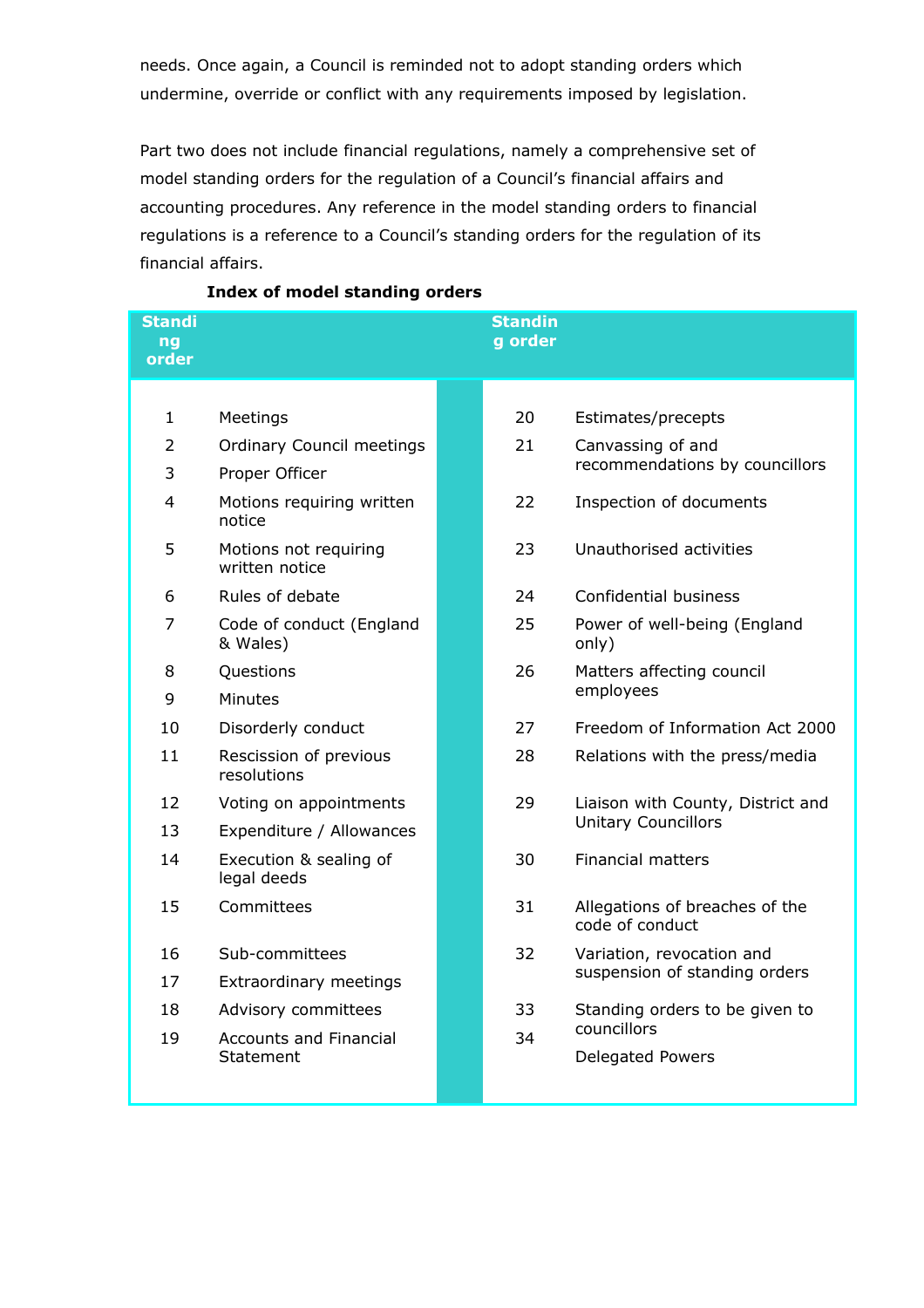needs. Once again, a Council is reminded not to adopt standing orders which undermine, override or conflict with any requirements imposed by legislation.

Part two does not include financial regulations, namely a comprehensive set of model standing orders for the regulation of a Council's financial affairs and accounting procedures. Any reference in the model standing orders to financial regulations is a reference to a Council's standing orders for the regulation of its financial affairs.

| <b>Standi</b><br>nq<br>order |                                            | <b>Standin</b><br>g order |                                                                 |
|------------------------------|--------------------------------------------|---------------------------|-----------------------------------------------------------------|
|                              |                                            |                           |                                                                 |
| 1                            | Meetings                                   | 20                        | Estimates/precepts                                              |
| 2                            | <b>Ordinary Council meetings</b>           | 21                        | Canvassing of and                                               |
| 3                            | Proper Officer                             |                           | recommendations by councillors                                  |
| 4                            | Motions requiring written<br>notice        | 22                        | Inspection of documents                                         |
| 5                            | Motions not requiring<br>written notice    | 23                        | Unauthorised activities                                         |
| 6                            | Rules of debate                            | 24                        | Confidential business                                           |
| 7                            | Code of conduct (England<br>& Wales)       | 25                        | Power of well-being (England<br>only)                           |
| 8                            | Questions                                  | 26                        | Matters affecting council<br>employees                          |
| 9                            | Minutes                                    |                           |                                                                 |
| 10                           | Disorderly conduct                         | 27                        | Freedom of Information Act 2000                                 |
| 11                           | Rescission of previous<br>resolutions      | 28                        | Relations with the press/media                                  |
| 12                           | Voting on appointments                     | 29                        | Liaison with County, District and<br><b>Unitary Councillors</b> |
| 13                           | Expenditure / Allowances                   |                           |                                                                 |
| 14                           | Execution & sealing of<br>legal deeds      | 30                        | <b>Financial matters</b>                                        |
| 15                           | Committees                                 | 31                        | Allegations of breaches of the<br>code of conduct               |
| 16                           | Sub-committees                             | 32                        | Variation, revocation and<br>suspension of standing orders      |
| 17                           | Extraordinary meetings                     |                           |                                                                 |
| 18                           | Advisory committees                        | 33                        | Standing orders to be given to                                  |
| 19                           | <b>Accounts and Financial</b><br>Statement | 34                        | councillors<br><b>Delegated Powers</b>                          |

## **Index of model standing orders**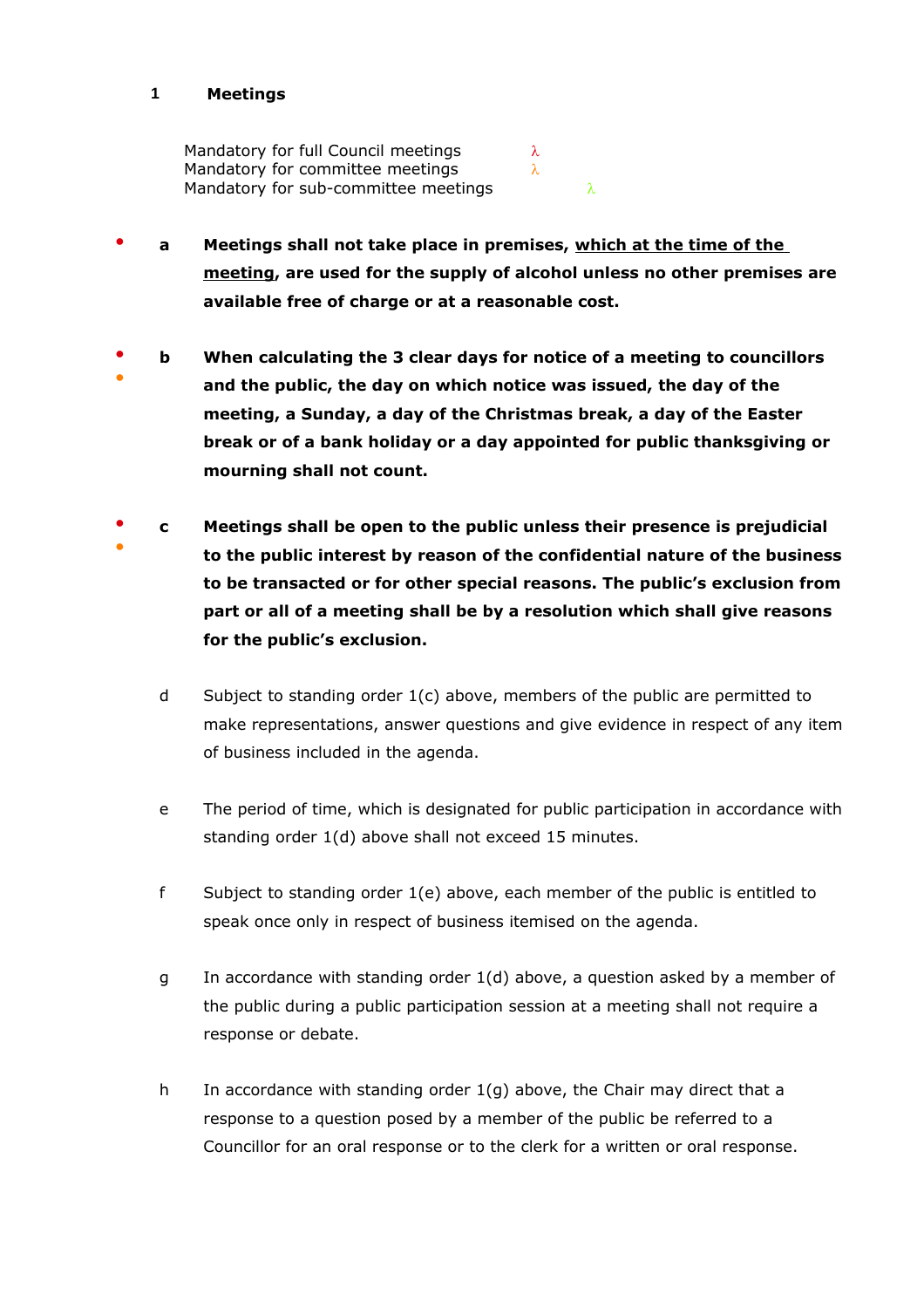## **1 Meetings**

Mandatory for full Council meetings  $\lambda$ Mandatory for committee meetings  $\lambda$ Mandatory for sub-committee meetings  $\lambda$ 

- **a Meetings shall not take place in premises, which at the time of the meeting, are used for the supply of alcohol unless no other premises are available free of charge or at a reasonable cost.**
- ● **b When calculating the 3 clear days for notice of a meeting to councillors and the public, the day on which notice was issued, the day of the meeting, a Sunday, a day of the Christmas break, a day of the Easter break or of a bank holiday or a day appointed for public thanksgiving or mourning shall not count.**
- ● **c Meetings shall be open to the public unless their presence is prejudicial to the public interest by reason of the confidential nature of the business to be transacted or for other special reasons. The public's exclusion from part or all of a meeting shall be by a resolution which shall give reasons for the public's exclusion.**
	- d Subject to standing order 1(c) above, members of the public are permitted to make representations, answer questions and give evidence in respect of any item of business included in the agenda.
	- e The period of time, which is designated for public participation in accordance with standing order 1(d) above shall not exceed 15 minutes.
	- f Subject to standing order 1(e) above, each member of the public is entitled to speak once only in respect of business itemised on the agenda.
	- g In accordance with standing order 1(d) above, a question asked by a member of the public during a public participation session at a meeting shall not require a response or debate.
	- h In accordance with standing order  $1(q)$  above, the Chair may direct that a response to a question posed by a member of the public be referred to a Councillor for an oral response or to the clerk for a written or oral response.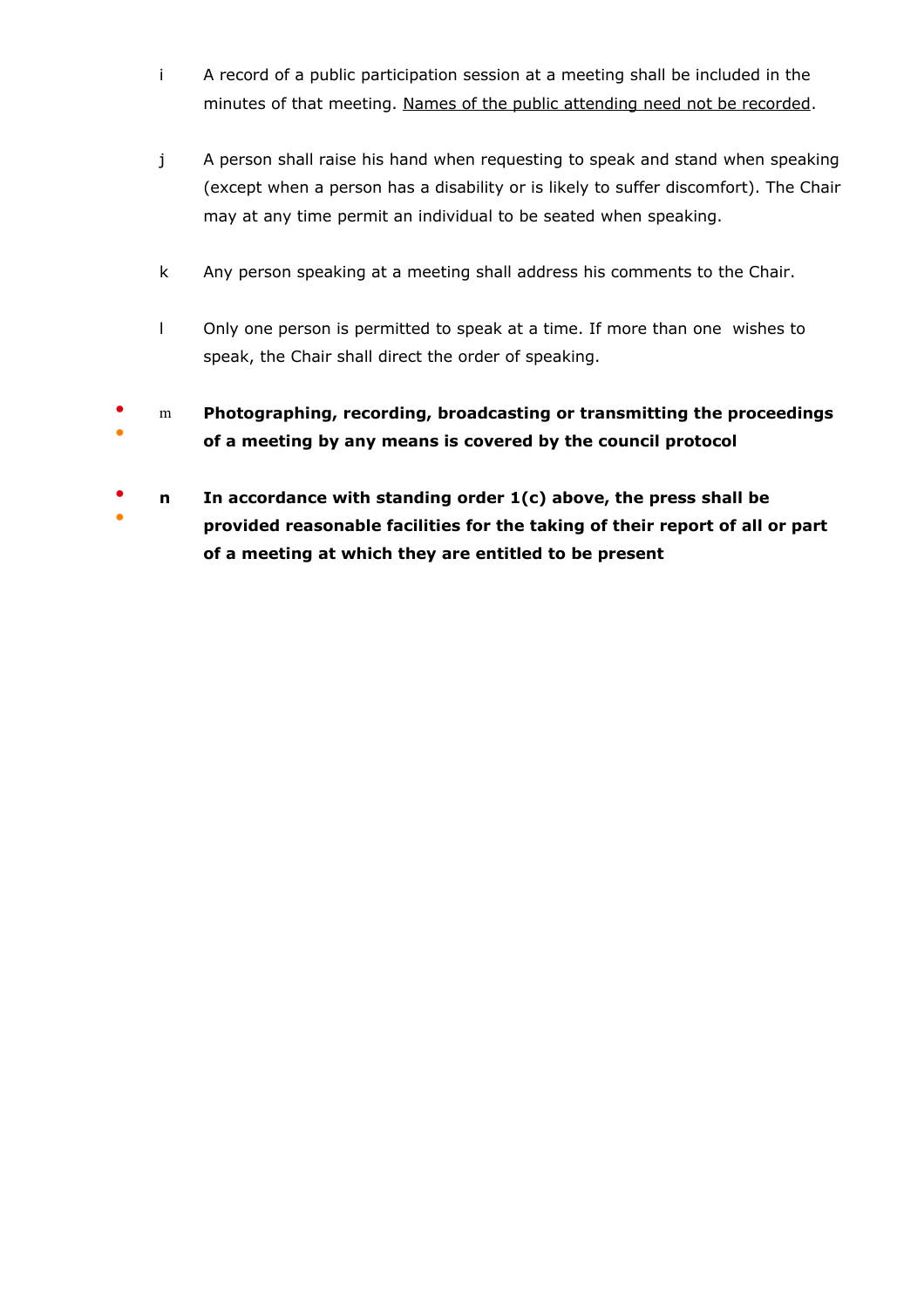- i A record of a public participation session at a meeting shall be included in the minutes of that meeting. Names of the public attending need not be recorded.
- j A person shall raise his hand when requesting to speak and stand when speaking (except when a person has a disability or is likely to suffer discomfort). The Chair may at any time permit an individual to be seated when speaking.
- k Any person speaking at a meeting shall address his comments to the Chair.
- l Only one person is permitted to speak at a time. If more than one wishes to speak, the Chair shall direct the order of speaking.
- ● m **Photographing, recording, broadcasting or transmitting the proceedings of a meeting by any means is covered by the council protocol**
- ● **n In accordance with standing order 1(c) above, the press shall be provided reasonable facilities for the taking of their report of all or part of a meeting at which they are entitled to be present**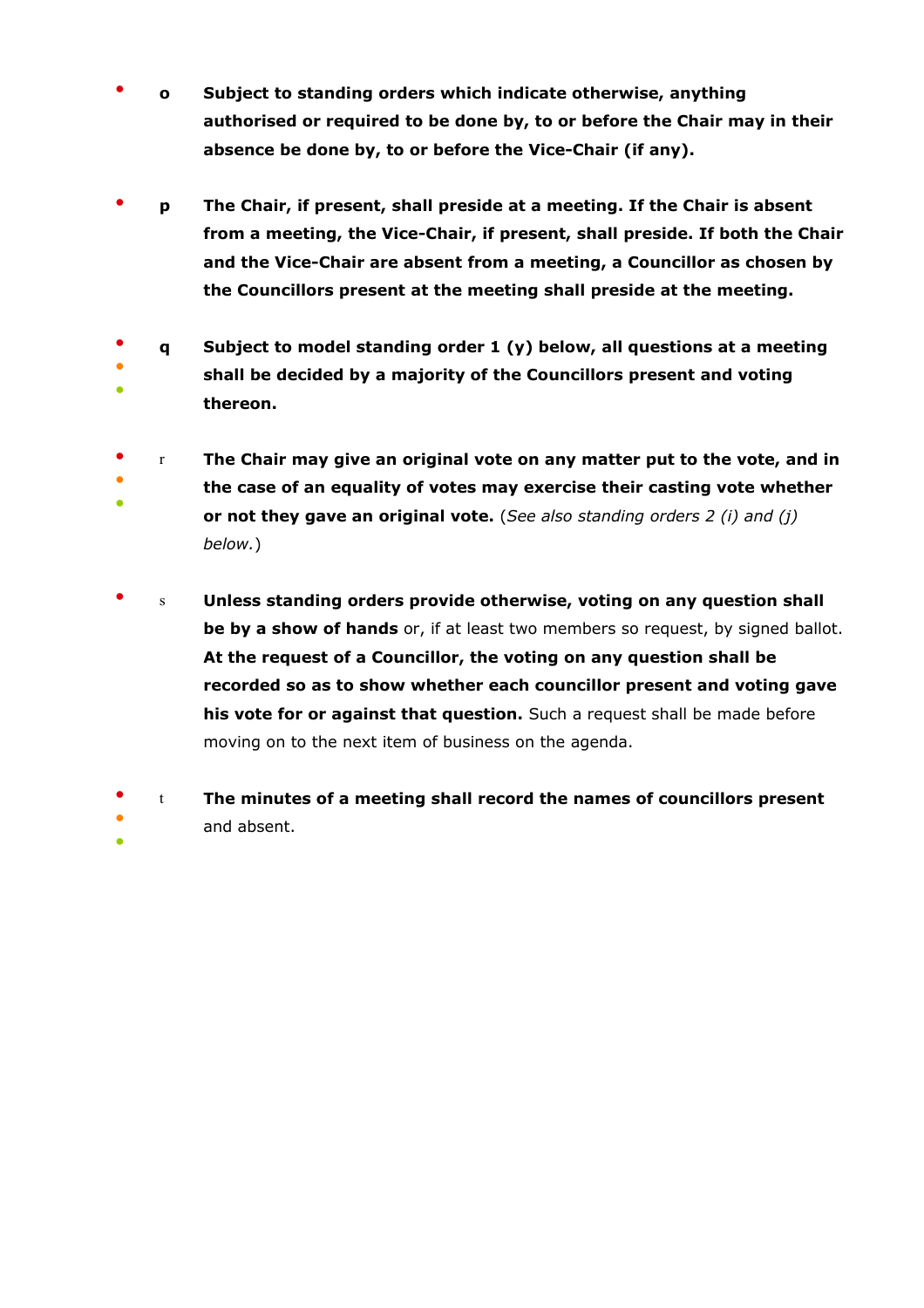- **o Subject to standing orders which indicate otherwise, anything authorised or required to be done by, to or before the Chair may in their absence be done by, to or before the Vice-Chair (if any).**
- **p The Chair, if present, shall preside at a meeting. If the Chair is absent from a meeting, the Vice-Chair, if present, shall preside. If both the Chair and the Vice-Chair are absent from a meeting, a Councillor as chosen by the Councillors present at the meeting shall preside at the meeting.**
- ● ● **q Subject to model standing order 1 (y) below, all questions at a meeting shall be decided by a majority of the Councillors present and voting thereon.**
- r **The Chair may give an original vote on any matter put to the vote, and in**
- ● **the case of an equality of votes may exercise their casting vote whether or not they gave an original vote.** (*See also standing orders 2 (i) and (j) below.*)
- s **Unless standing orders provide otherwise, voting on any question shall be by a show of hands** or, if at least two members so request, by signed ballot. **At the request of a Councillor, the voting on any question shall be recorded so as to show whether each councillor present and voting gave his vote for or against that question.** Such a request shall be made before moving on to the next item of business on the agenda.
- ● t **The minutes of a meeting shall record the names of councillors present**  and absent.

●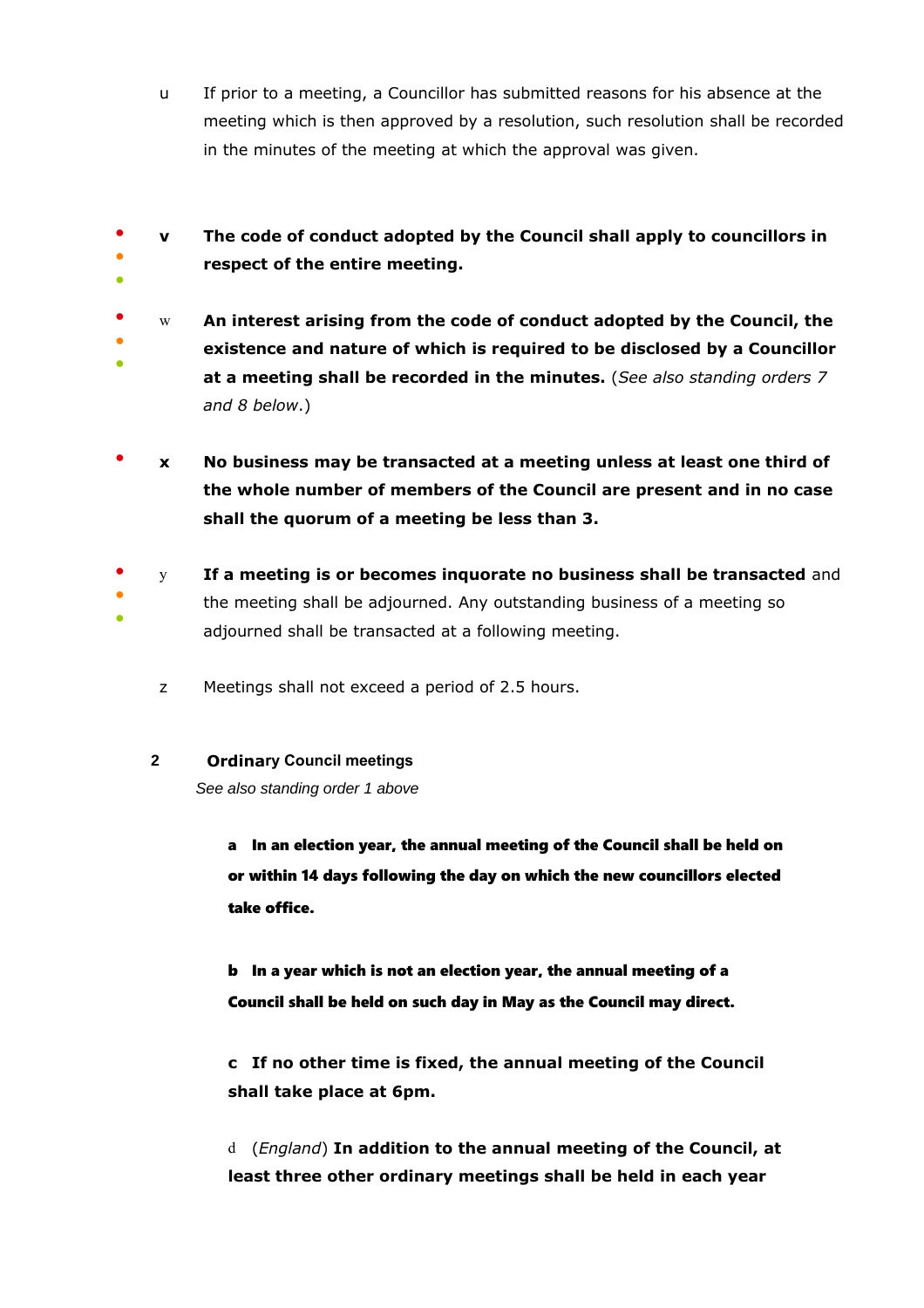- u If prior to a meeting, a Councillor has submitted reasons for his absence at the meeting which is then approved by a resolution, such resolution shall be recorded in the minutes of the meeting at which the approval was given.
- ● ● **v The code of conduct adopted by the Council shall apply to councillors in respect of the entire meeting.**
- ● ● w **An interest arising from the code of conduct adopted by the Council, the existence and nature of which is required to be disclosed by a Councillor at a meeting shall be recorded in the minutes.** (*See also standing orders 7 and 8 below*.)
- **x No business may be transacted at a meeting unless at least one third of the whole number of members of the Council are present and in no case shall the quorum of a meeting be less than 3.**
- ● ● y **If a meeting is or becomes inquorate no business shall be transacted** and the meeting shall be adjourned. Any outstanding business of a meeting so adjourned shall be transacted at a following meeting.
	- z Meetings shall not exceed a period of 2.5 hours.
	- **2 Ordinary Council meetings**

See also standing order 1 above

a In an election year, the annual meeting of the Council shall be held on or within 14 days following the day on which the new councillors elected take office.

b In a year which is not an election year, the annual meeting of a Council shall be held on such day in May as the Council may direct.

**c If no other time is fixed, the annual meeting of the Council shall take place at 6pm.**

d (*England*) **In addition to the annual meeting of the Council, at least three other ordinary meetings shall be held in each year**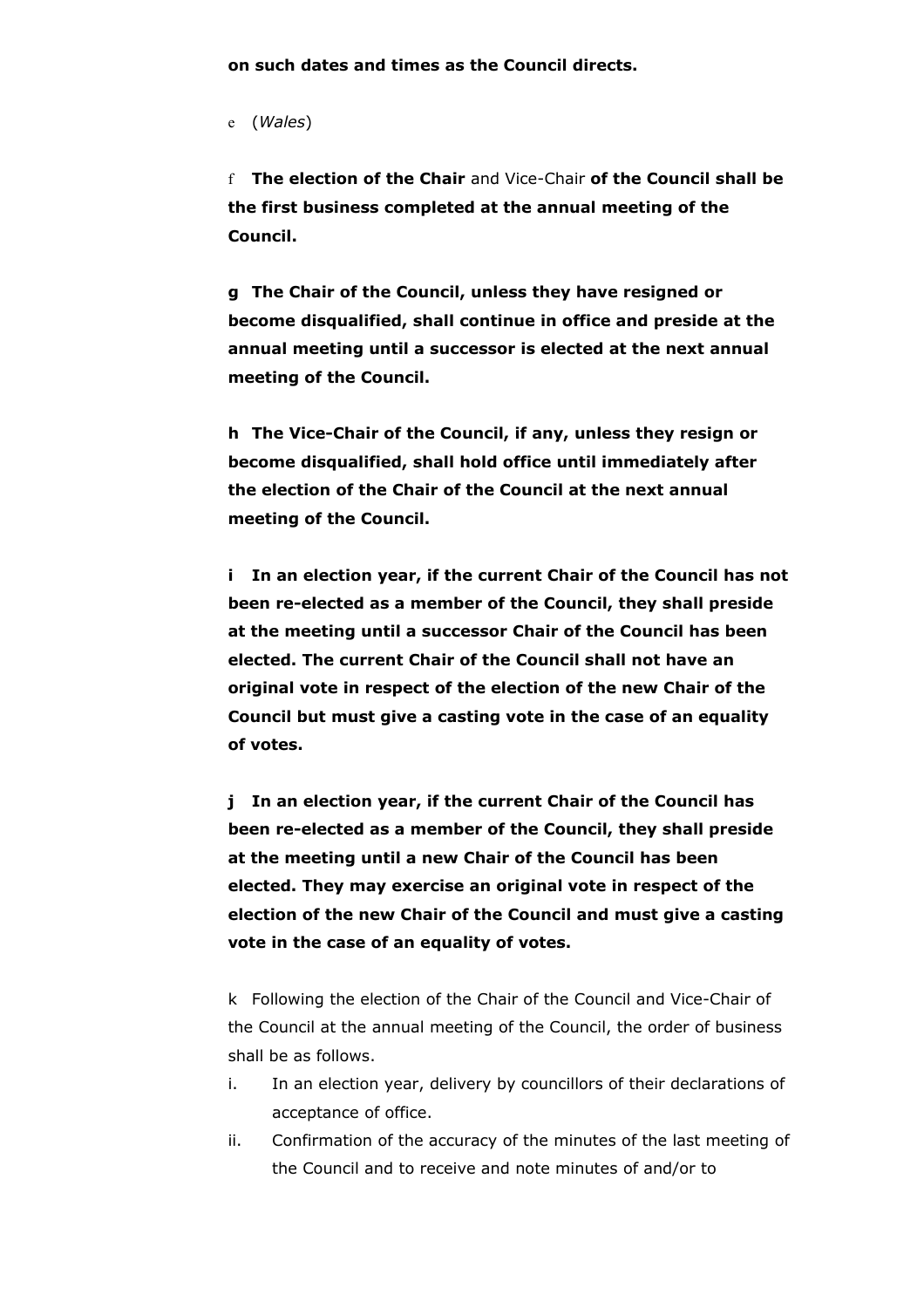**on such dates and times as the Council directs.**

e (*Wales*)

f **The election of the Chair** and Vice-Chair **of the Council shall be the first business completed at the annual meeting of the Council.**

**g The Chair of the Council, unless they have resigned or become disqualified, shall continue in office and preside at the annual meeting until a successor is elected at the next annual meeting of the Council.** 

**h The Vice-Chair of the Council, if any, unless they resign or become disqualified, shall hold office until immediately after the election of the Chair of the Council at the next annual meeting of the Council.**

**i In an election year, if the current Chair of the Council has not been re-elected as a member of the Council, they shall preside at the meeting until a successor Chair of the Council has been elected. The current Chair of the Council shall not have an original vote in respect of the election of the new Chair of the Council but must give a casting vote in the case of an equality of votes.**

**j In an election year, if the current Chair of the Council has been re-elected as a member of the Council, they shall preside at the meeting until a new Chair of the Council has been elected. They may exercise an original vote in respect of the election of the new Chair of the Council and must give a casting vote in the case of an equality of votes.**

k Following the election of the Chair of the Council and Vice-Chair of the Council at the annual meeting of the Council, the order of business shall be as follows.

- i. In an election year, delivery by councillors of their declarations of acceptance of office.
- ii. Confirmation of the accuracy of the minutes of the last meeting of the Council and to receive and note minutes of and/or to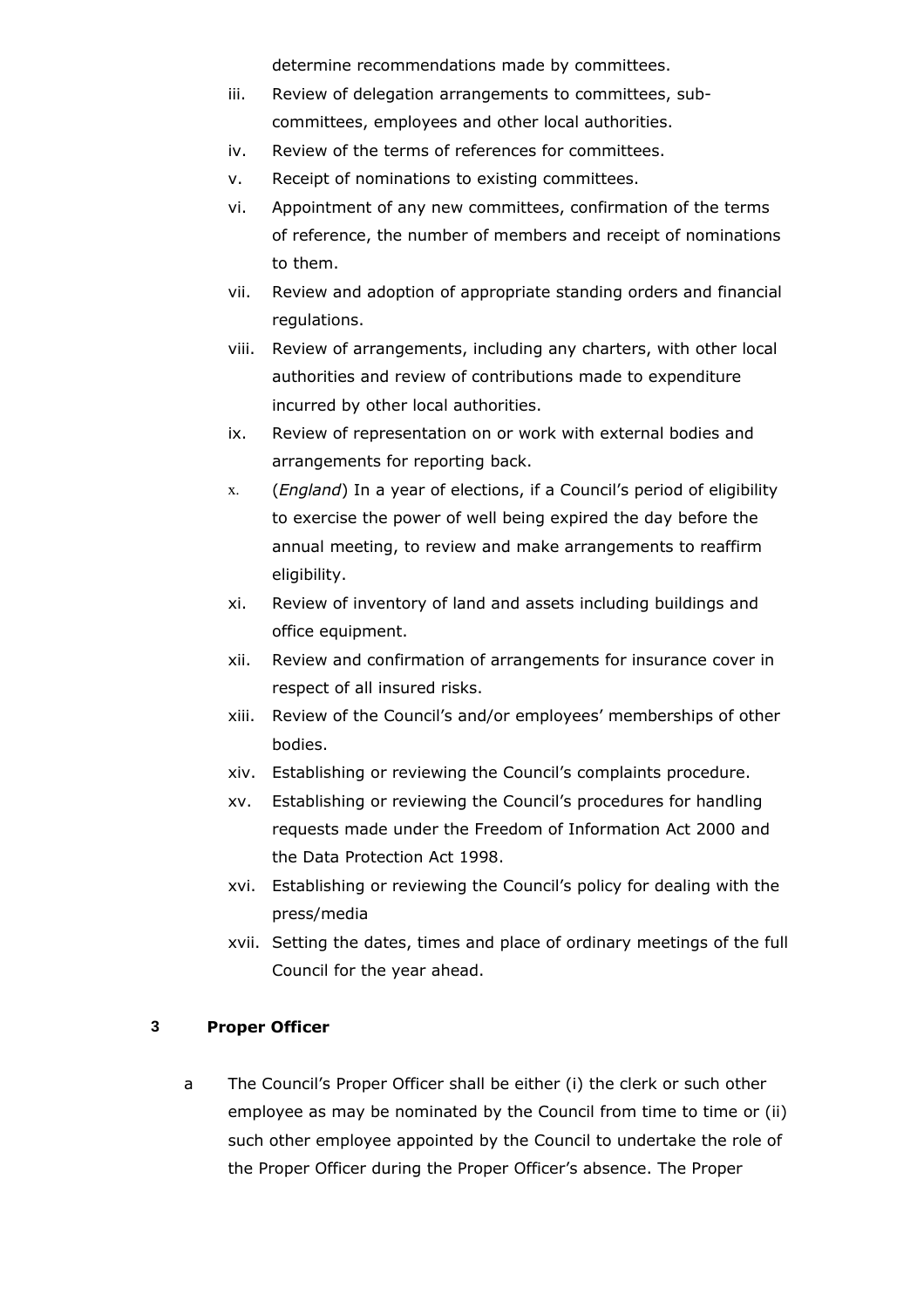determine recommendations made by committees.

- iii. Review of delegation arrangements to committees, subcommittees, employees and other local authorities.
- iv. Review of the terms of references for committees.
- v. Receipt of nominations to existing committees.
- vi. Appointment of any new committees, confirmation of the terms of reference, the number of members and receipt of nominations to them.
- vii. Review and adoption of appropriate standing orders and financial regulations.
- viii. Review of arrangements, including any charters, with other local authorities and review of contributions made to expenditure incurred by other local authorities.
- ix. Review of representation on or work with external bodies and arrangements for reporting back.
- x. (*England*) In a year of elections, if a Council's period of eligibility to exercise the power of well being expired the day before the annual meeting, to review and make arrangements to reaffirm eligibility.
- xi. Review of inventory of land and assets including buildings and office equipment.
- xii. Review and confirmation of arrangements for insurance cover in respect of all insured risks.
- xiii. Review of the Council's and/or employees' memberships of other bodies.
- xiv. Establishing or reviewing the Council's complaints procedure.
- xv. Establishing or reviewing the Council's procedures for handling requests made under the Freedom of Information Act 2000 and the Data Protection Act 1998.
- xvi. Establishing or reviewing the Council's policy for dealing with the press/media
- xvii. Setting the dates, times and place of ordinary meetings of the full Council for the year ahead.

## **3 Proper Officer**

a The Council's Proper Officer shall be either (i) the clerk or such other employee as may be nominated by the Council from time to time or (ii) such other employee appointed by the Council to undertake the role of the Proper Officer during the Proper Officer's absence. The Proper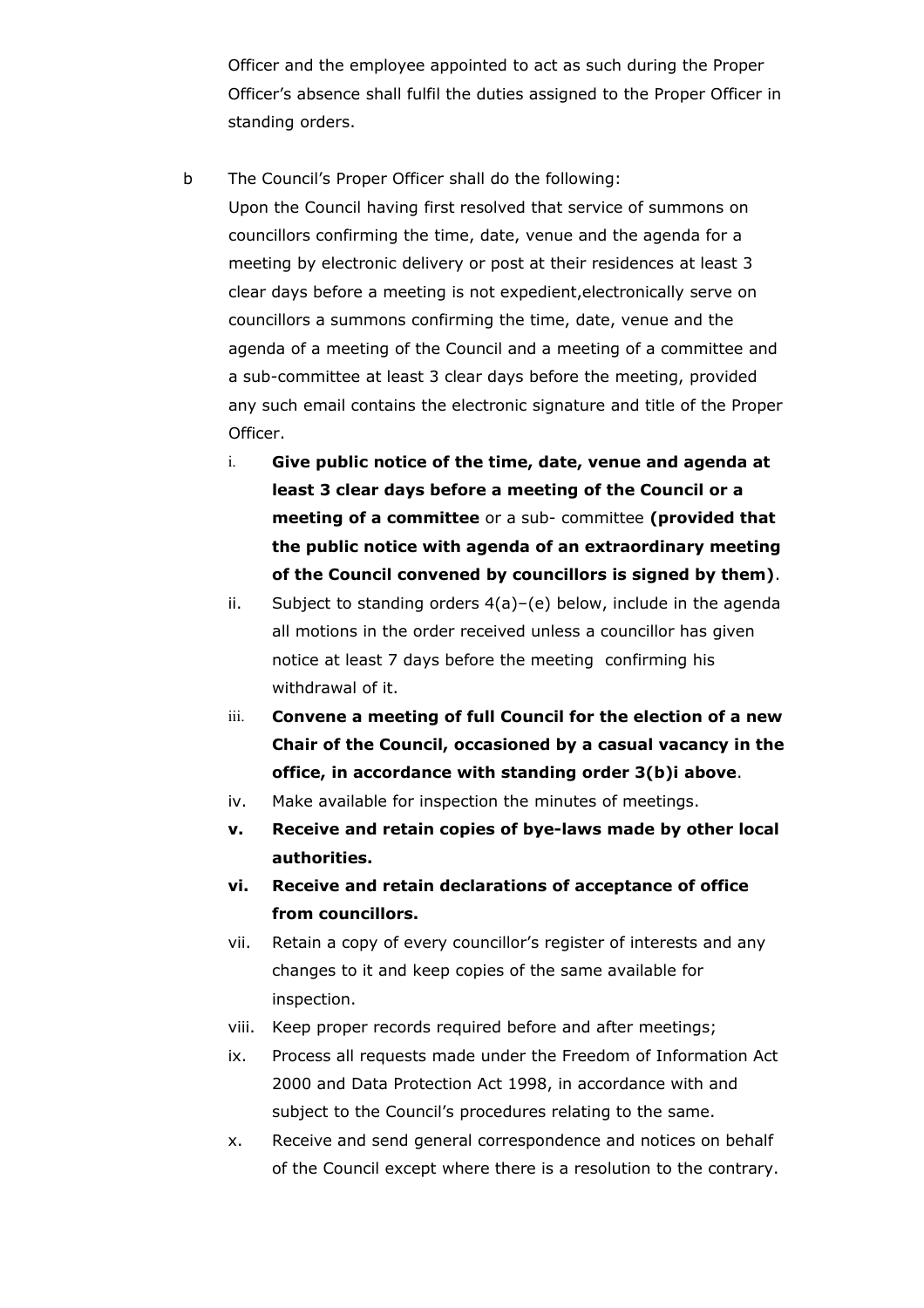Officer and the employee appointed to act as such during the Proper Officer's absence shall fulfil the duties assigned to the Proper Officer in standing orders.

- b The Council's Proper Officer shall do the following: Upon the Council having first resolved that service of summons on councillors confirming the time, date, venue and the agenda for a meeting by electronic delivery or post at their residences at least 3 clear days before a meeting is not expedient,electronically serve on councillors a summons confirming the time, date, venue and the agenda of a meeting of the Council and a meeting of a committee and a sub-committee at least 3 clear days before the meeting, provided any such email contains the electronic signature and title of the Proper Officer.
	- i. **Give public notice of the time, date, venue and agenda at least 3 clear days before a meeting of the Council or a meeting of a committee** or a sub- committee **(provided that the public notice with agenda of an extraordinary meeting of the Council convened by councillors is signed by them)**.
	- ii. Subject to standing orders 4(a)–(e) below, include in the agenda all motions in the order received unless a councillor has given notice at least 7 days before the meeting confirming his withdrawal of it.
	- iii. **Convene a meeting of full Council for the election of a new Chair of the Council, occasioned by a casual vacancy in the office, in accordance with standing order 3(b)i above**.
	- iv. Make available for inspection the minutes of meetings.
	- **v. Receive and retain copies of bye-laws made by other local authorities.**
	- **vi. Receive and retain declarations of acceptance of office from councillors.**
	- vii. Retain a copy of every councillor's register of interests and any changes to it and keep copies of the same available for inspection.
	- viii. Keep proper records required before and after meetings;
	- ix. Process all requests made under the Freedom of Information Act 2000 and Data Protection Act 1998, in accordance with and subject to the Council's procedures relating to the same.
	- x. Receive and send general correspondence and notices on behalf of the Council except where there is a resolution to the contrary.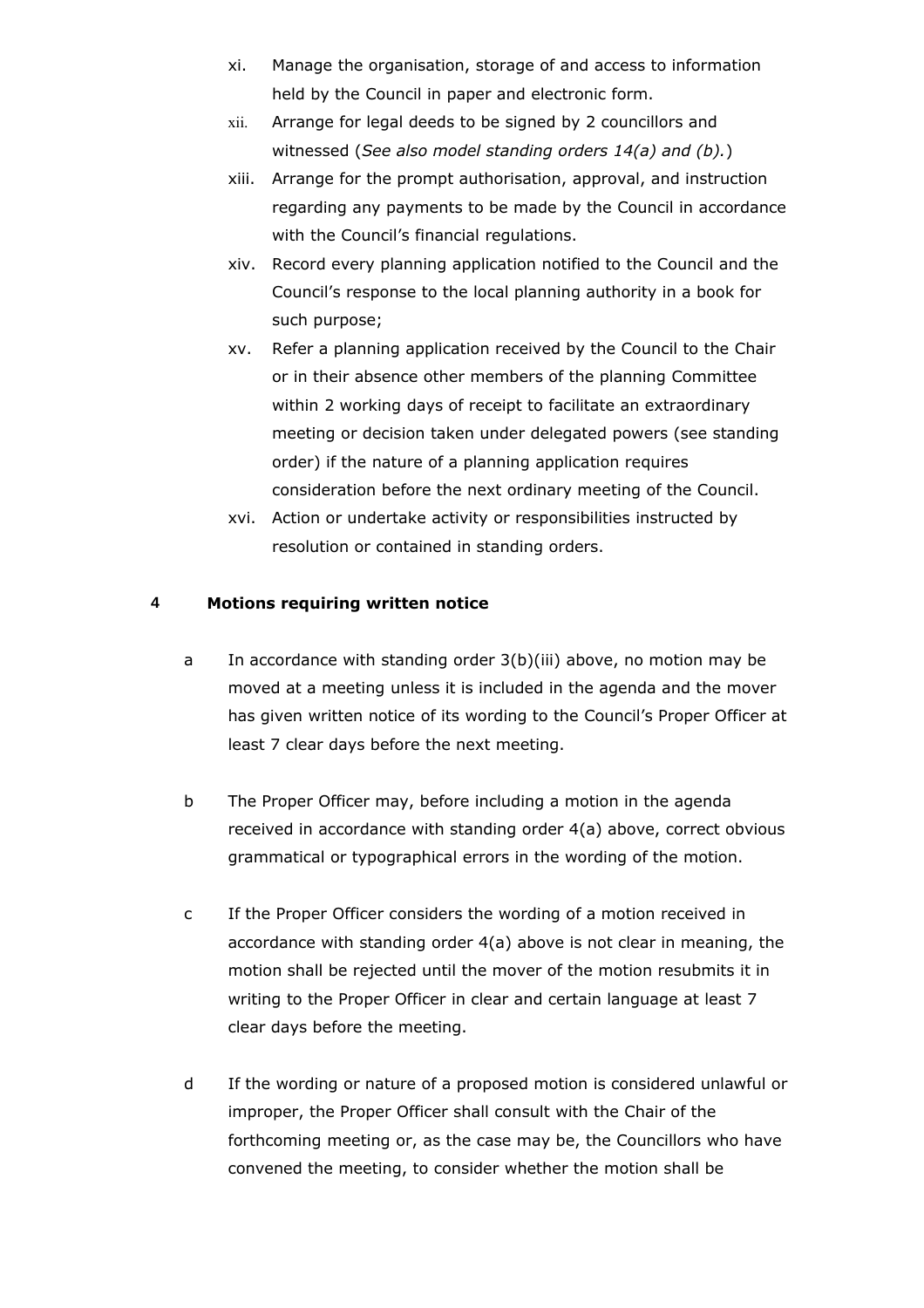- xi. Manage the organisation, storage of and access to information held by the Council in paper and electronic form.
- xii. Arrange for legal deeds to be signed by 2 councillors and witnessed (*See also model standing orders 14(a) and (b).*)
- xiii. Arrange for the prompt authorisation, approval, and instruction regarding any payments to be made by the Council in accordance with the Council's financial regulations.
- xiv. Record every planning application notified to the Council and the Council's response to the local planning authority in a book for such purpose;
- xv. Refer a planning application received by the Council to the Chair or in their absence other members of the planning Committee within 2 working days of receipt to facilitate an extraordinary meeting or decision taken under delegated powers (see standing order) if the nature of a planning application requires consideration before the next ordinary meeting of the Council.
- xvi. Action or undertake activity or responsibilities instructed by resolution or contained in standing orders.

## **4 Motions requiring written notice**

- a In accordance with standing order 3(b)(iii) above, no motion may be moved at a meeting unless it is included in the agenda and the mover has given written notice of its wording to the Council's Proper Officer at least 7 clear days before the next meeting.
- b The Proper Officer may, before including a motion in the agenda received in accordance with standing order 4(a) above, correct obvious grammatical or typographical errors in the wording of the motion.
- c If the Proper Officer considers the wording of a motion received in accordance with standing order 4(a) above is not clear in meaning, the motion shall be rejected until the mover of the motion resubmits it in writing to the Proper Officer in clear and certain language at least 7 clear days before the meeting.
- d If the wording or nature of a proposed motion is considered unlawful or improper, the Proper Officer shall consult with the Chair of the forthcoming meeting or, as the case may be, the Councillors who have convened the meeting, to consider whether the motion shall be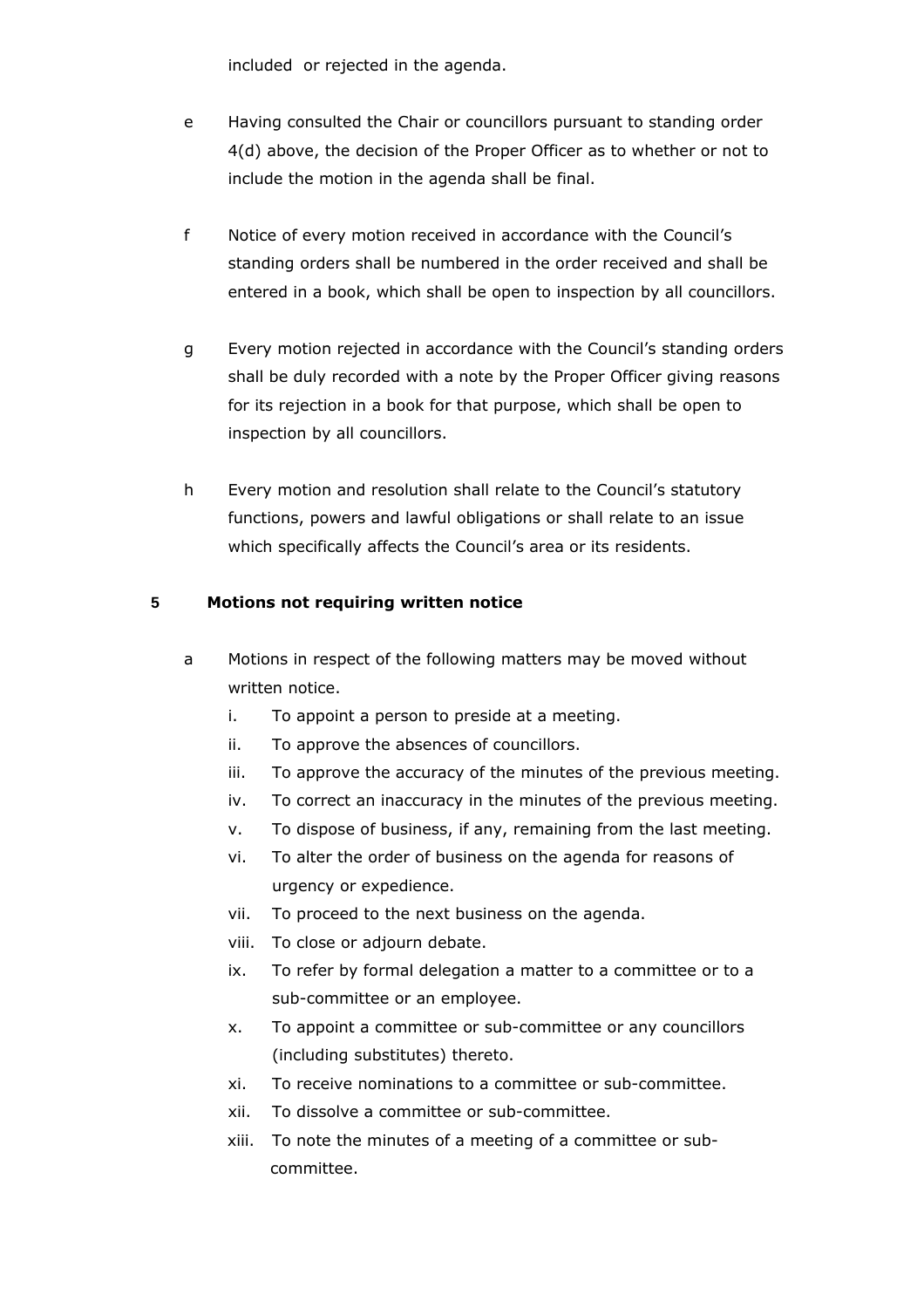included or rejected in the agenda.

- e Having consulted the Chair or councillors pursuant to standing order 4(d) above, the decision of the Proper Officer as to whether or not to include the motion in the agenda shall be final.
- f Notice of every motion received in accordance with the Council's standing orders shall be numbered in the order received and shall be entered in a book, which shall be open to inspection by all councillors.
- g Every motion rejected in accordance with the Council's standing orders shall be duly recorded with a note by the Proper Officer giving reasons for its rejection in a book for that purpose, which shall be open to inspection by all councillors.
- h Every motion and resolution shall relate to the Council's statutory functions, powers and lawful obligations or shall relate to an issue which specifically affects the Council's area or its residents.

## **5 Motions not requiring written notice**

- a Motions in respect of the following matters may be moved without written notice.
	- i. To appoint a person to preside at a meeting.
	- ii. To approve the absences of councillors.
	- iii. To approve the accuracy of the minutes of the previous meeting.
	- iv. To correct an inaccuracy in the minutes of the previous meeting.
	- v. To dispose of business, if any, remaining from the last meeting.
	- vi. To alter the order of business on the agenda for reasons of urgency or expedience.
	- vii. To proceed to the next business on the agenda.
	- viii. To close or adjourn debate.
	- ix. To refer by formal delegation a matter to a committee or to a sub-committee or an employee.
	- x. To appoint a committee or sub-committee or any councillors (including substitutes) thereto.
	- xi. To receive nominations to a committee or sub-committee.
	- xii. To dissolve a committee or sub-committee.
	- xiii. To note the minutes of a meeting of a committee or subcommittee.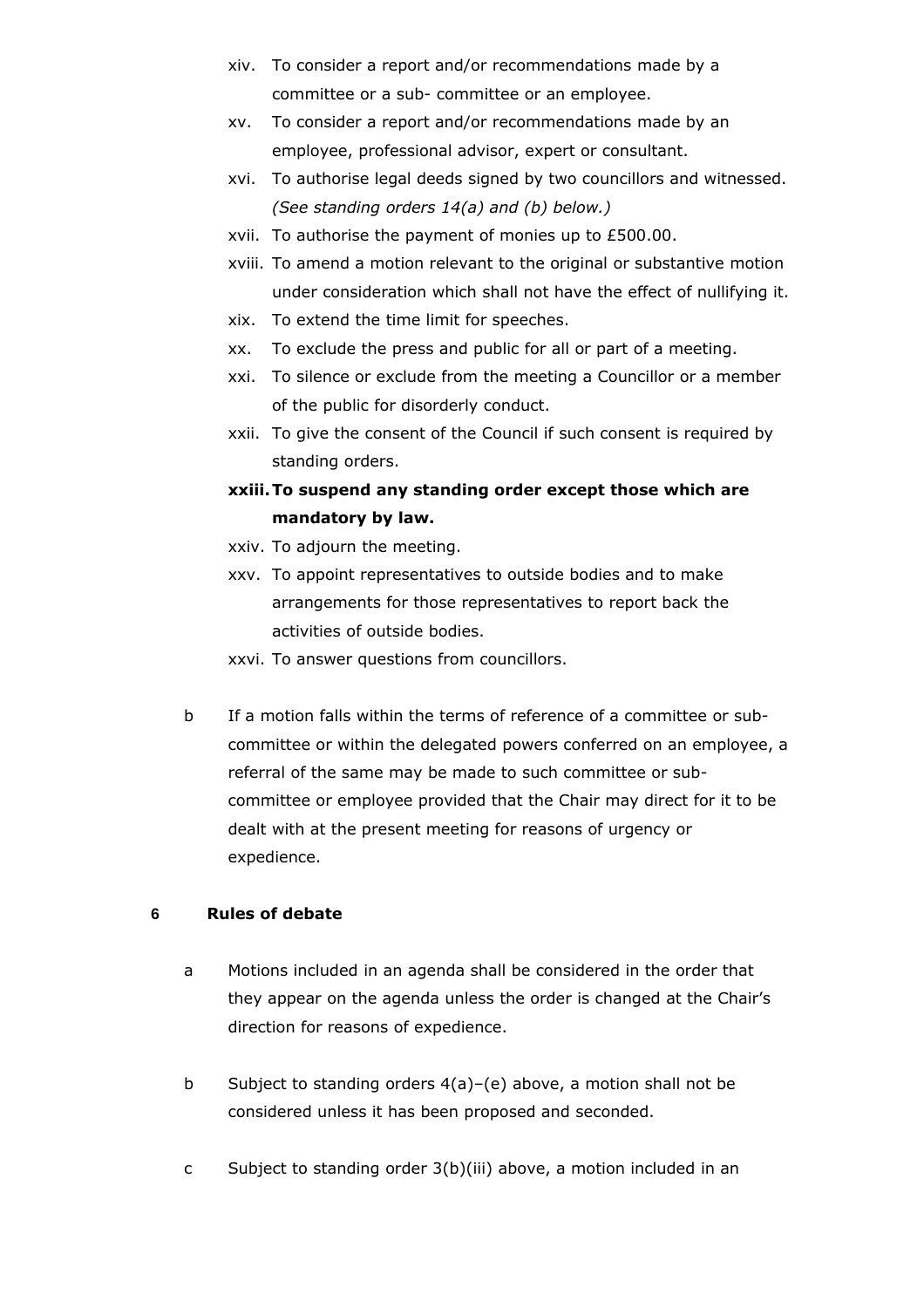- xiv. To consider a report and/or recommendations made by a committee or a sub- committee or an employee.
- xv. To consider a report and/or recommendations made by an employee, professional advisor, expert or consultant.
- xvi. To authorise legal deeds signed by two councillors and witnessed. *(See standing orders 14(a) and (b) below.)*
- xvii. To authorise the payment of monies up to £500.00.
- xviii. To amend a motion relevant to the original or substantive motion under consideration which shall not have the effect of nullifying it.
- xix. To extend the time limit for speeches.
- xx. To exclude the press and public for all or part of a meeting.
- xxi. To silence or exclude from the meeting a Councillor or a member of the public for disorderly conduct.
- xxii. To give the consent of the Council if such consent is required by standing orders.
- **xxiii.To suspend any standing order except those which are mandatory by law.**
- xxiv. To adjourn the meeting.
- xxv. To appoint representatives to outside bodies and to make arrangements for those representatives to report back the activities of outside bodies.
- xxvi. To answer questions from councillors.
- b If a motion falls within the terms of reference of a committee or subcommittee or within the delegated powers conferred on an employee, a referral of the same may be made to such committee or subcommittee or employee provided that the Chair may direct for it to be dealt with at the present meeting for reasons of urgency or expedience.

# **6 Rules of debate**

- a Motions included in an agenda shall be considered in the order that they appear on the agenda unless the order is changed at the Chair's direction for reasons of expedience.
- b Subject to standing orders 4(a)–(e) above, a motion shall not be considered unless it has been proposed and seconded.
- c Subject to standing order 3(b)(iii) above, a motion included in an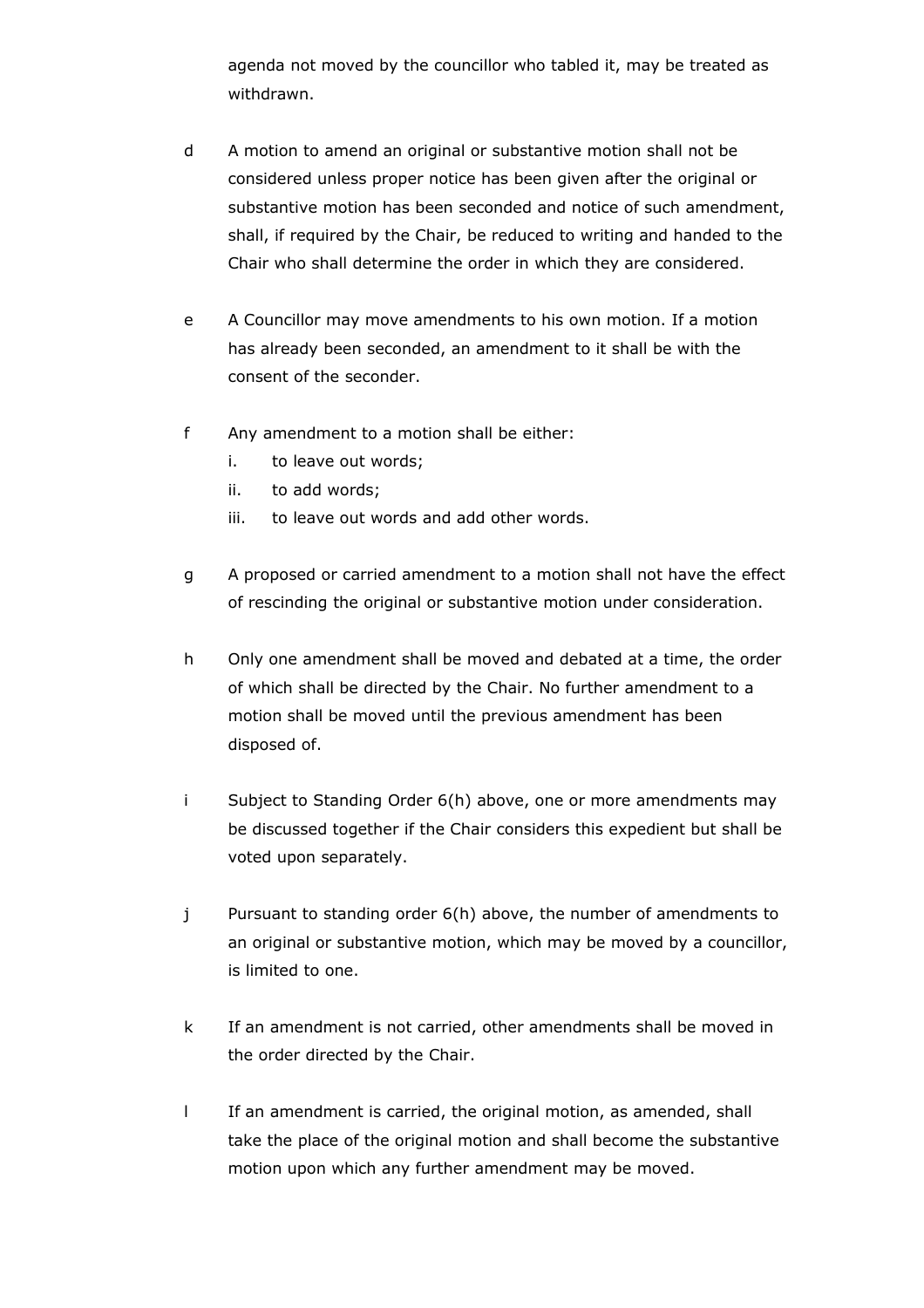agenda not moved by the councillor who tabled it, may be treated as withdrawn.

- d A motion to amend an original or substantive motion shall not be considered unless proper notice has been given after the original or substantive motion has been seconded and notice of such amendment, shall, if required by the Chair, be reduced to writing and handed to the Chair who shall determine the order in which they are considered.
- e A Councillor may move amendments to his own motion. If a motion has already been seconded, an amendment to it shall be with the consent of the seconder.
- f Any amendment to a motion shall be either:
	- i. to leave out words;
	- ii. to add words;
	- iii. to leave out words and add other words.
- g A proposed or carried amendment to a motion shall not have the effect of rescinding the original or substantive motion under consideration.
- h Only one amendment shall be moved and debated at a time, the order of which shall be directed by the Chair. No further amendment to a motion shall be moved until the previous amendment has been disposed of.
- i Subject to Standing Order 6(h) above, one or more amendments may be discussed together if the Chair considers this expedient but shall be voted upon separately.
- j Pursuant to standing order 6(h) above, the number of amendments to an original or substantive motion, which may be moved by a councillor, is limited to one.
- k If an amendment is not carried, other amendments shall be moved in the order directed by the Chair.
- l If an amendment is carried, the original motion, as amended, shall take the place of the original motion and shall become the substantive motion upon which any further amendment may be moved.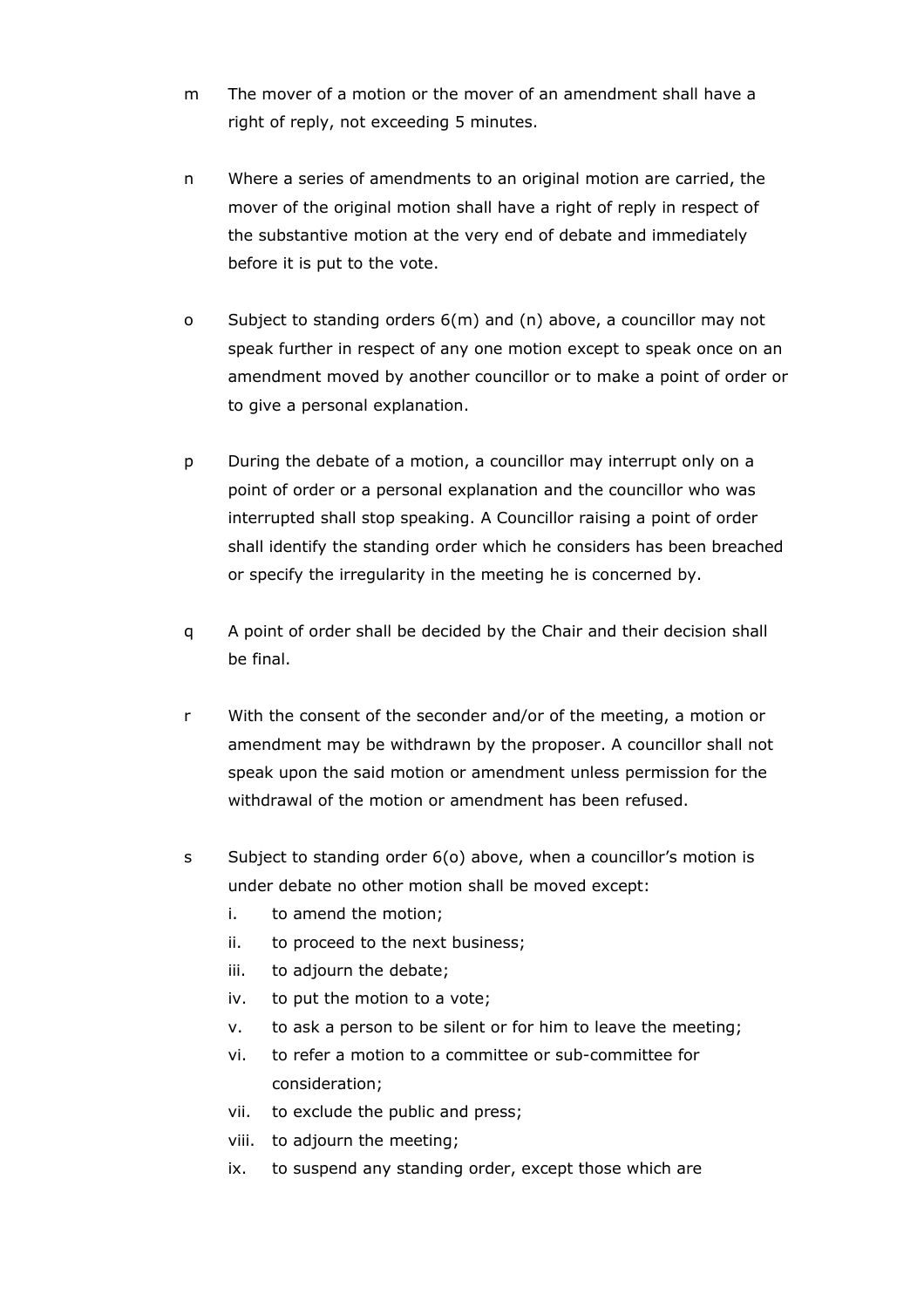- m The mover of a motion or the mover of an amendment shall have a right of reply, not exceeding 5 minutes.
- n Where a series of amendments to an original motion are carried, the mover of the original motion shall have a right of reply in respect of the substantive motion at the very end of debate and immediately before it is put to the vote.
- o Subject to standing orders 6(m) and (n) above, a councillor may not speak further in respect of any one motion except to speak once on an amendment moved by another councillor or to make a point of order or to give a personal explanation.
- p During the debate of a motion, a councillor may interrupt only on a point of order or a personal explanation and the councillor who was interrupted shall stop speaking. A Councillor raising a point of order shall identify the standing order which he considers has been breached or specify the irregularity in the meeting he is concerned by.
- q A point of order shall be decided by the Chair and their decision shall be final.
- r With the consent of the seconder and/or of the meeting, a motion or amendment may be withdrawn by the proposer. A councillor shall not speak upon the said motion or amendment unless permission for the withdrawal of the motion or amendment has been refused.
- s Subject to standing order 6(o) above, when a councillor's motion is under debate no other motion shall be moved except:
	- i. to amend the motion;
	- ii. to proceed to the next business;
	- iii. to adjourn the debate;
	- iv. to put the motion to a vote;
	- v. to ask a person to be silent or for him to leave the meeting;
	- vi. to refer a motion to a committee or sub-committee for consideration;
	- vii. to exclude the public and press;
	- viii. to adjourn the meeting;
	- ix. to suspend any standing order, except those which are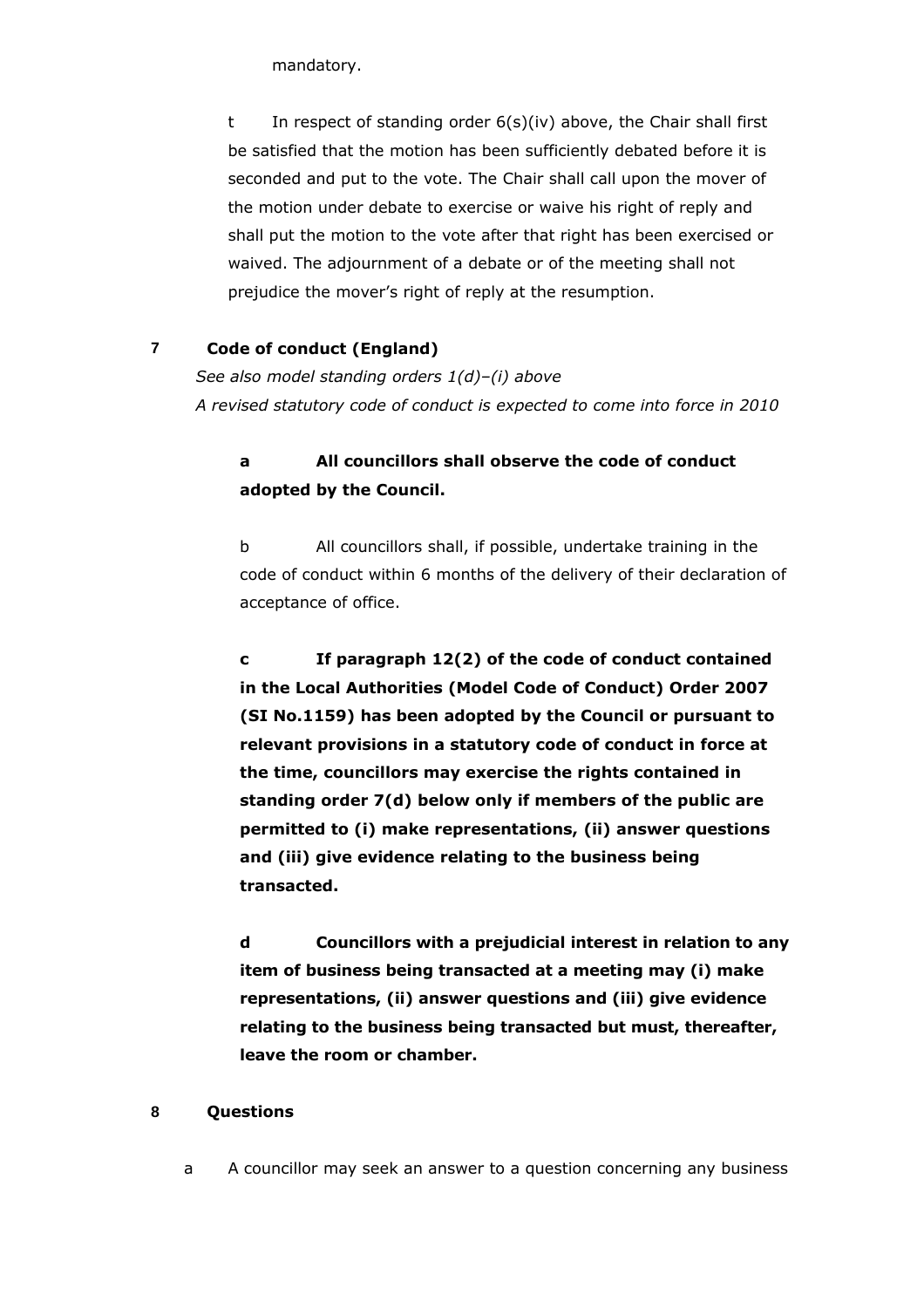mandatory.

t In respect of standing order 6(s)(iv) above, the Chair shall first be satisfied that the motion has been sufficiently debated before it is seconded and put to the vote. The Chair shall call upon the mover of the motion under debate to exercise or waive his right of reply and shall put the motion to the vote after that right has been exercised or waived. The adjournment of a debate or of the meeting shall not prejudice the mover's right of reply at the resumption.

## **7 Code of conduct (England)**

*See also model standing orders 1(d)–(i) above A revised statutory code of conduct is expected to come into force in 2010*

# **a All councillors shall observe the code of conduct adopted by the Council.**

b All councillors shall, if possible, undertake training in the code of conduct within 6 months of the delivery of their declaration of acceptance of office.

**c If paragraph 12(2) of the code of conduct contained in the Local Authorities (Model Code of Conduct) Order 2007 (SI No.1159) has been adopted by the Council or pursuant to relevant provisions in a statutory code of conduct in force at the time, councillors may exercise the rights contained in standing order 7(d) below only if members of the public are permitted to (i) make representations, (ii) answer questions and (iii) give evidence relating to the business being transacted.**

**d Councillors with a prejudicial interest in relation to any item of business being transacted at a meeting may (i) make representations, (ii) answer questions and (iii) give evidence relating to the business being transacted but must, thereafter, leave the room or chamber.**

## **8 Questions**

a A councillor may seek an answer to a question concerning any business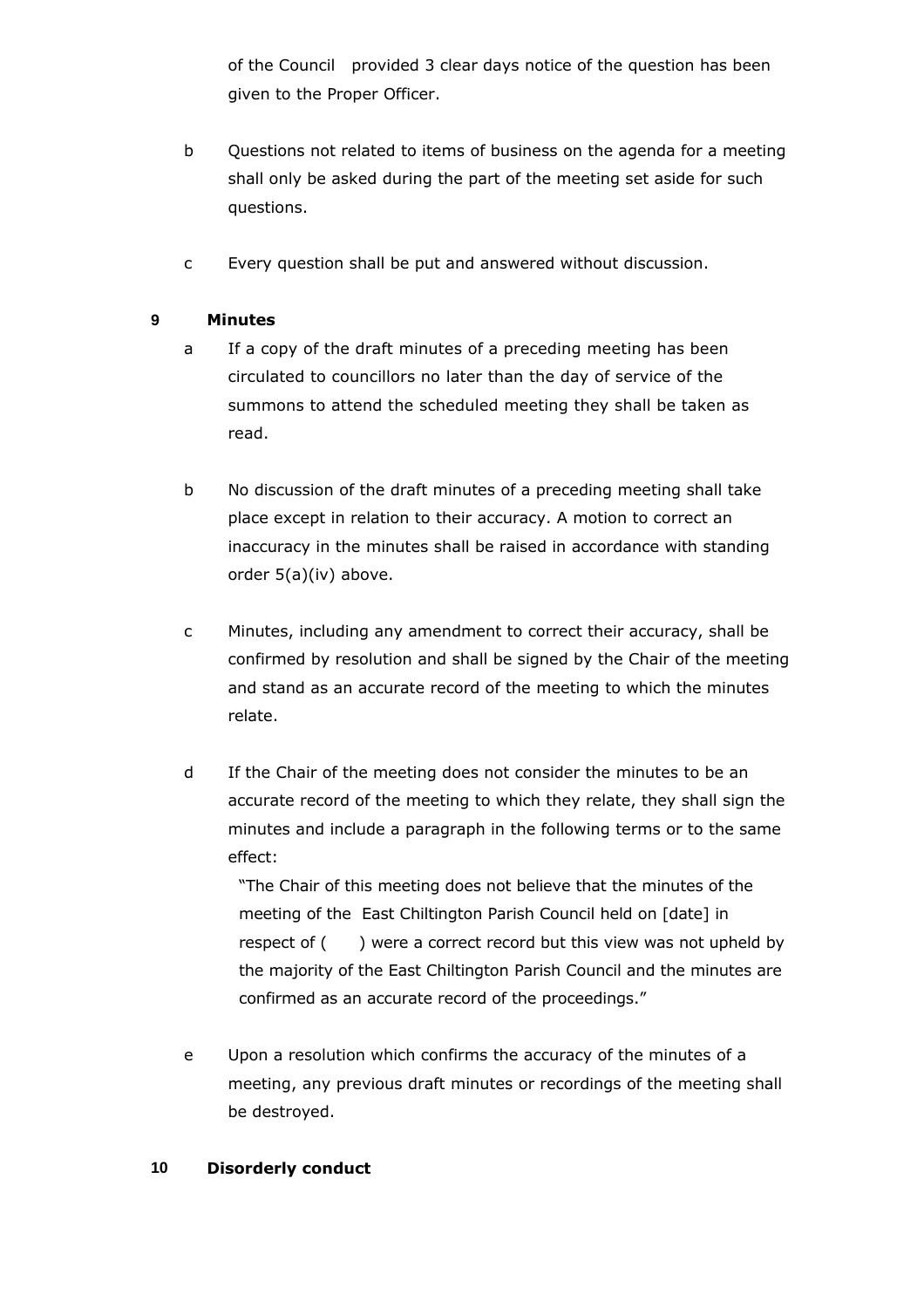of the Council provided 3 clear days notice of the question has been given to the Proper Officer.

- b Questions not related to items of business on the agenda for a meeting shall only be asked during the part of the meeting set aside for such questions.
- c Every question shall be put and answered without discussion.

# **9 Minutes**

- a If a copy of the draft minutes of a preceding meeting has been circulated to councillors no later than the day of service of the summons to attend the scheduled meeting they shall be taken as read.
- b No discussion of the draft minutes of a preceding meeting shall take place except in relation to their accuracy. A motion to correct an inaccuracy in the minutes shall be raised in accordance with standing order 5(a)(iv) above.
- c Minutes, including any amendment to correct their accuracy, shall be confirmed by resolution and shall be signed by the Chair of the meeting and stand as an accurate record of the meeting to which the minutes relate.
- d If the Chair of the meeting does not consider the minutes to be an accurate record of the meeting to which they relate, they shall sign the minutes and include a paragraph in the following terms or to the same effect:

"The Chair of this meeting does not believe that the minutes of the meeting of the East Chiltington Parish Council held on [date] in respect of () were a correct record but this view was not upheld by the majority of the East Chiltington Parish Council and the minutes are confirmed as an accurate record of the proceedings."

e Upon a resolution which confirms the accuracy of the minutes of a meeting, any previous draft minutes or recordings of the meeting shall be destroyed.

## **10 Disorderly conduct**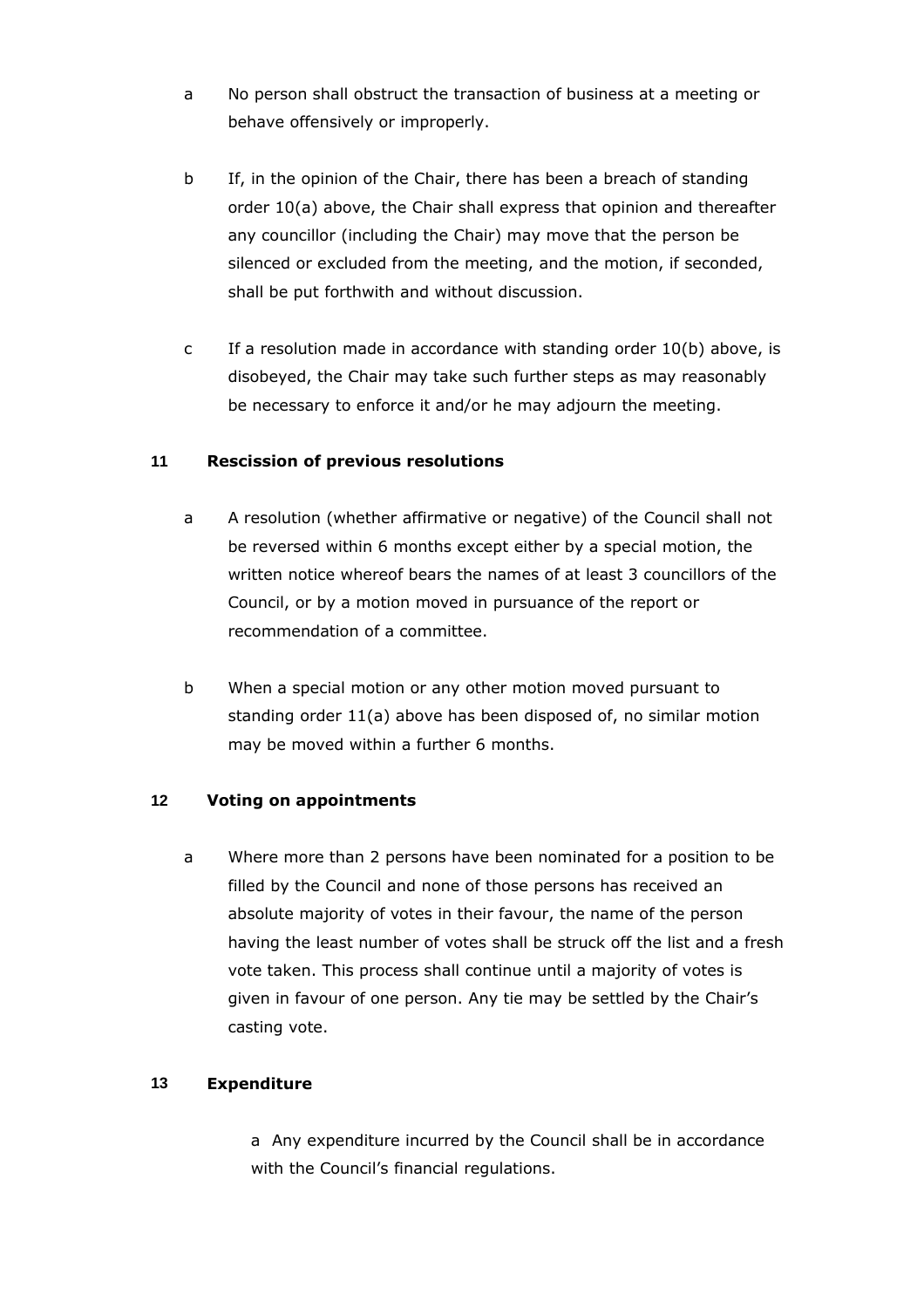- a No person shall obstruct the transaction of business at a meeting or behave offensively or improperly.
- b If, in the opinion of the Chair, there has been a breach of standing order 10(a) above, the Chair shall express that opinion and thereafter any councillor (including the Chair) may move that the person be silenced or excluded from the meeting, and the motion, if seconded, shall be put forthwith and without discussion.
- c If a resolution made in accordance with standing order 10(b) above, is disobeyed, the Chair may take such further steps as may reasonably be necessary to enforce it and/or he may adjourn the meeting.

## **11 Rescission of previous resolutions**

- a A resolution (whether affirmative or negative) of the Council shall not be reversed within 6 months except either by a special motion, the written notice whereof bears the names of at least 3 councillors of the Council, or by a motion moved in pursuance of the report or recommendation of a committee.
- b When a special motion or any other motion moved pursuant to standing order 11(a) above has been disposed of, no similar motion may be moved within a further 6 months.

## **12 Voting on appointments**

a Where more than 2 persons have been nominated for a position to be filled by the Council and none of those persons has received an absolute majority of votes in their favour, the name of the person having the least number of votes shall be struck off the list and a fresh vote taken. This process shall continue until a majority of votes is given in favour of one person. Any tie may be settled by the Chair's casting vote.

# **13 Expenditure**

a Any expenditure incurred by the Council shall be in accordance with the Council's financial regulations.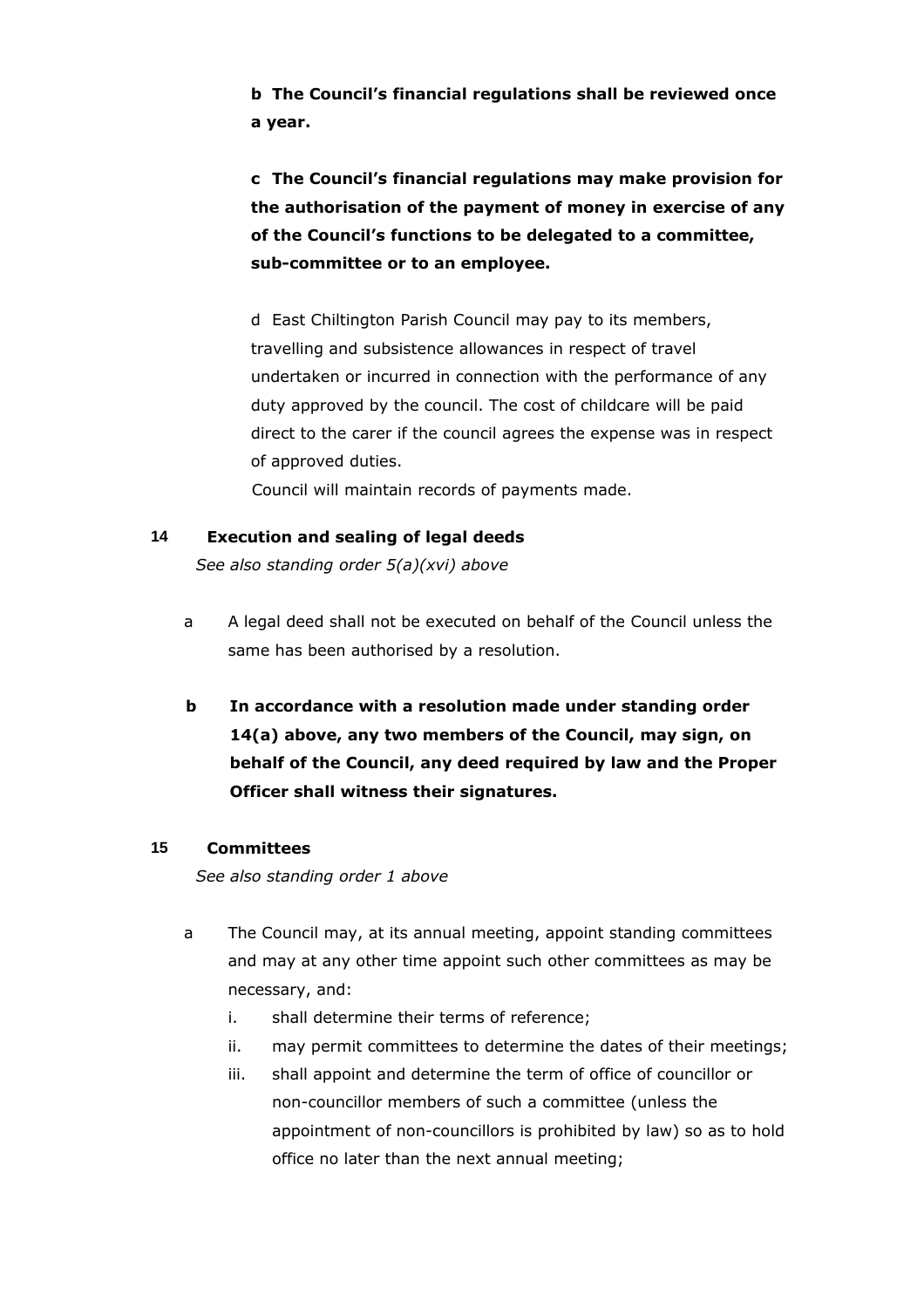**b The Council's financial regulations shall be reviewed once a year.**

**c The Council's financial regulations may make provision for the authorisation of the payment of money in exercise of any of the Council's functions to be delegated to a committee, sub-committee or to an employee.**

d East Chiltington Parish Council may pay to its members, travelling and subsistence allowances in respect of travel undertaken or incurred in connection with the performance of any duty approved by the council. The cost of childcare will be paid direct to the carer if the council agrees the expense was in respect of approved duties.

Council will maintain records of payments made.

## **14 Execution and sealing of legal deeds**

*See also standing order 5(a)(xvi) above*

- a A legal deed shall not be executed on behalf of the Council unless the same has been authorised by a resolution.
- **b In accordance with a resolution made under standing order 14(a) above, any two members of the Council, may sign, on behalf of the Council, any deed required by law and the Proper Officer shall witness their signatures.**

## **15 Committees**

*See also standing order 1 above* 

- a The Council may, at its annual meeting, appoint standing committees and may at any other time appoint such other committees as may be necessary, and:
	- i. shall determine their terms of reference;
	- ii. may permit committees to determine the dates of their meetings;
	- iii. shall appoint and determine the term of office of councillor or non-councillor members of such a committee (unless the appointment of non-councillors is prohibited by law) so as to hold office no later than the next annual meeting;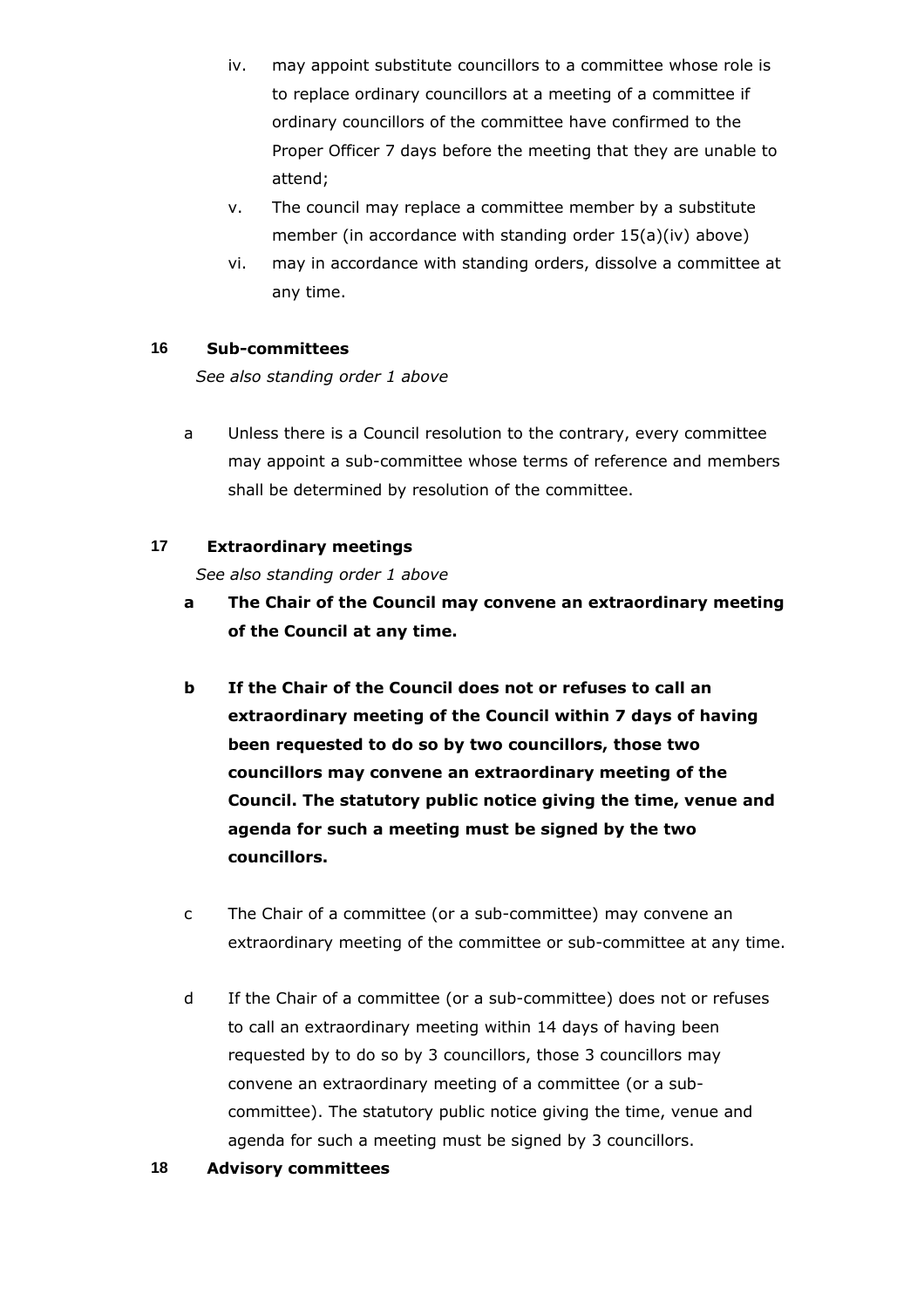- iv. may appoint substitute councillors to a committee whose role is to replace ordinary councillors at a meeting of a committee if ordinary councillors of the committee have confirmed to the Proper Officer 7 days before the meeting that they are unable to attend;
- v. The council may replace a committee member by a substitute member (in accordance with standing order 15(a)(iv) above)
- vi. may in accordance with standing orders, dissolve a committee at any time.

# **16 Sub-committees**

*See also standing order 1 above*

a Unless there is a Council resolution to the contrary, every committee may appoint a sub-committee whose terms of reference and members shall be determined by resolution of the committee.

## **17 Extraordinary meetings**

*See also standing order 1 above*

- **a The Chair of the Council may convene an extraordinary meeting of the Council at any time.**
- **b If the Chair of the Council does not or refuses to call an extraordinary meeting of the Council within 7 days of having been requested to do so by two councillors, those two councillors may convene an extraordinary meeting of the Council. The statutory public notice giving the time, venue and agenda for such a meeting must be signed by the two councillors.**
- c The Chair of a committee (or a sub-committee) may convene an extraordinary meeting of the committee or sub-committee at any time.
- d If the Chair of a committee (or a sub-committee) does not or refuses to call an extraordinary meeting within 14 days of having been requested by to do so by 3 councillors, those 3 councillors may convene an extraordinary meeting of a committee (or a subcommittee). The statutory public notice giving the time, venue and agenda for such a meeting must be signed by 3 councillors.

## **18 Advisory committees**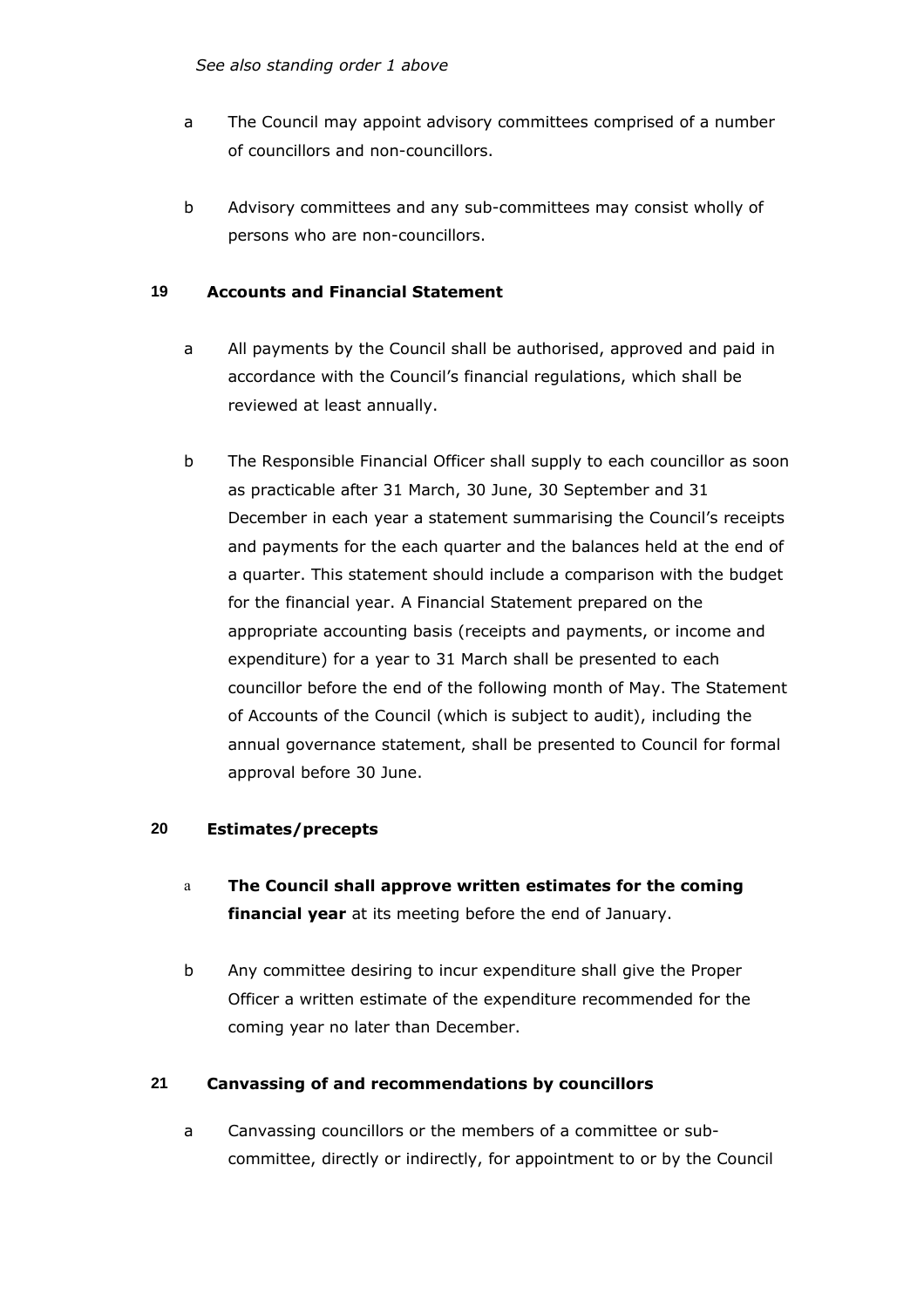*See also standing order 1 above*

- a The Council may appoint advisory committees comprised of a number of councillors and non-councillors.
- b Advisory committees and any sub-committees may consist wholly of persons who are non-councillors.

# **19 Accounts and Financial Statement**

- a All payments by the Council shall be authorised, approved and paid in accordance with the Council's financial regulations, which shall be reviewed at least annually.
- b The Responsible Financial Officer shall supply to each councillor as soon as practicable after 31 March, 30 June, 30 September and 31 December in each year a statement summarising the Council's receipts and payments for the each quarter and the balances held at the end of a quarter. This statement should include a comparison with the budget for the financial year. A Financial Statement prepared on the appropriate accounting basis (receipts and payments, or income and expenditure) for a year to 31 March shall be presented to each councillor before the end of the following month of May. The Statement of Accounts of the Council (which is subject to audit), including the annual governance statement, shall be presented to Council for formal approval before 30 June.

# **20 Estimates/precepts**

- a **The Council shall approve written estimates for the coming financial year** at its meeting before the end of January.
- b Any committee desiring to incur expenditure shall give the Proper Officer a written estimate of the expenditure recommended for the coming year no later than December.

# **21 Canvassing of and recommendations by councillors**

a Canvassing councillors or the members of a committee or subcommittee, directly or indirectly, for appointment to or by the Council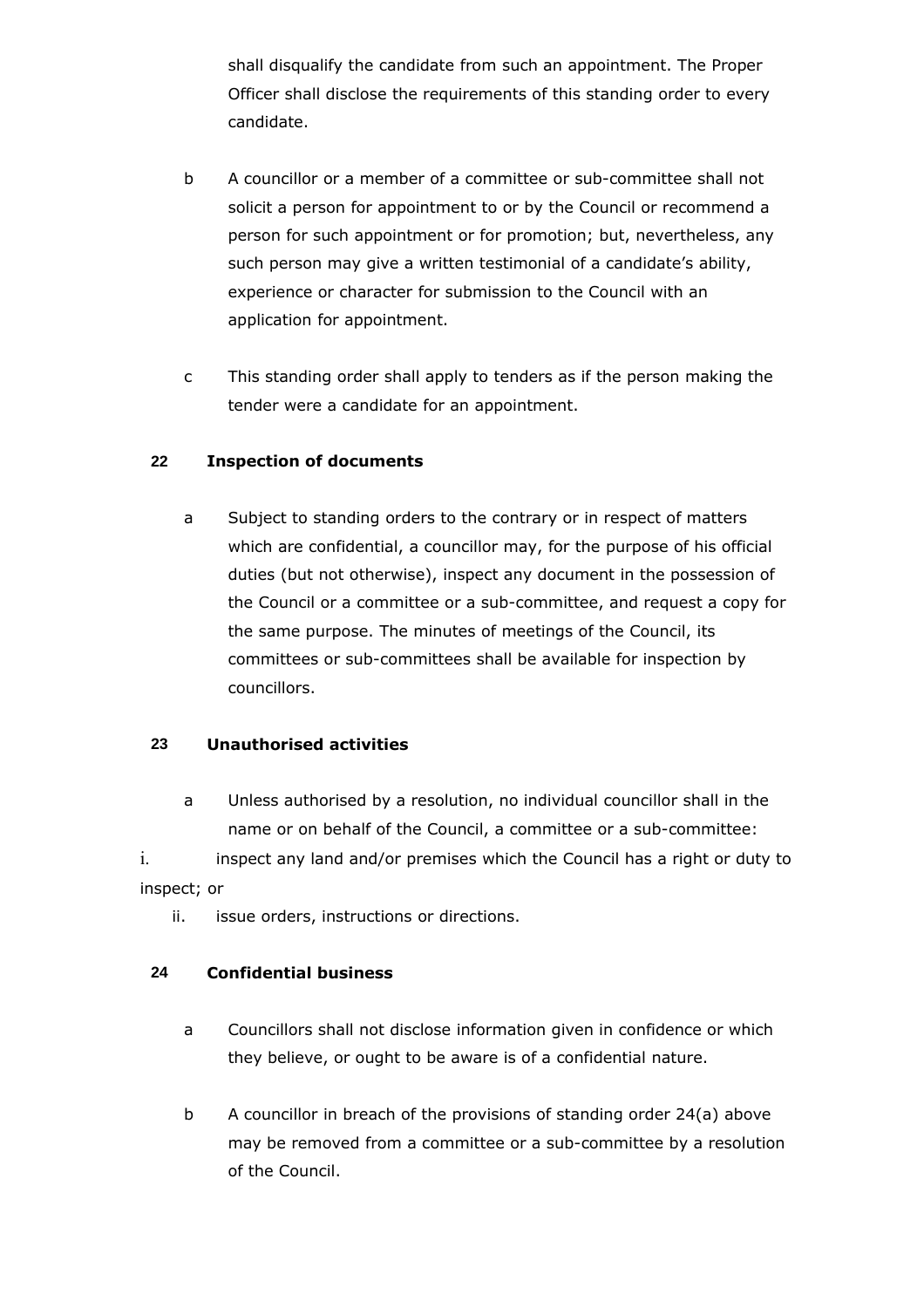shall disqualify the candidate from such an appointment. The Proper Officer shall disclose the requirements of this standing order to every candidate.

- b A councillor or a member of a committee or sub-committee shall not solicit a person for appointment to or by the Council or recommend a person for such appointment or for promotion; but, nevertheless, any such person may give a written testimonial of a candidate's ability, experience or character for submission to the Council with an application for appointment.
- c This standing order shall apply to tenders as if the person making the tender were a candidate for an appointment.

## **22 Inspection of documents**

a Subject to standing orders to the contrary or in respect of matters which are confidential, a councillor may, for the purpose of his official duties (but not otherwise), inspect any document in the possession of the Council or a committee or a sub-committee, and request a copy for the same purpose. The minutes of meetings of the Council, its committees or sub-committees shall be available for inspection by councillors.

## **23 Unauthorised activities**

a Unless authorised by a resolution, no individual councillor shall in the name or on behalf of the Council, a committee or a sub-committee:

i. inspect any land and/or premises which the Council has a right or duty to inspect; or

ii. issue orders, instructions or directions.

## **24 Confidential business**

- a Councillors shall not disclose information given in confidence or which they believe, or ought to be aware is of a confidential nature.
- b A councillor in breach of the provisions of standing order 24(a) above may be removed from a committee or a sub-committee by a resolution of the Council.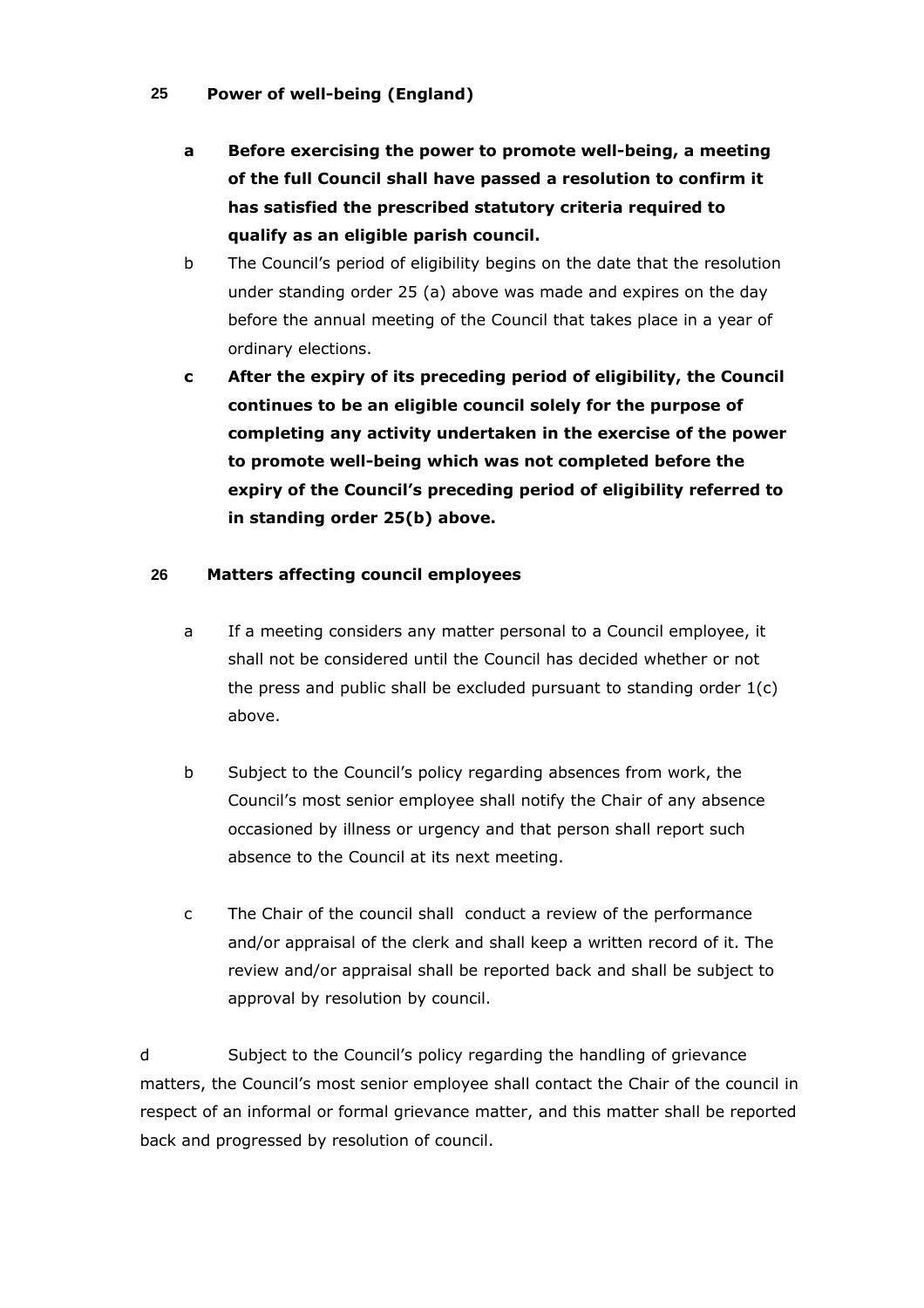## **25 Power of well-being (England)**

- **a Before exercising the power to promote well-being, a meeting of the full Council shall have passed a resolution to confirm it has satisfied the prescribed statutory criteria required to qualify as an eligible parish council.**
- b The Council's period of eligibility begins on the date that the resolution under standing order 25 (a) above was made and expires on the day before the annual meeting of the Council that takes place in a year of ordinary elections.
- **c After the expiry of its preceding period of eligibility, the Council continues to be an eligible council solely for the purpose of completing any activity undertaken in the exercise of the power to promote well-being which was not completed before the expiry of the Council's preceding period of eligibility referred to in standing order 25(b) above.**

## **26 Matters affecting council employees**

- a If a meeting considers any matter personal to a Council employee, it shall not be considered until the Council has decided whether or not the press and public shall be excluded pursuant to standing order 1(c) above.
- b Subject to the Council's policy regarding absences from work, the Council's most senior employee shall notify the Chair of any absence occasioned by illness or urgency and that person shall report such absence to the Council at its next meeting.
- c The Chair of the council shall conduct a review of the performance and/or appraisal of the clerk and shall keep a written record of it. The review and/or appraisal shall be reported back and shall be subject to approval by resolution by council.

d Subject to the Council's policy regarding the handling of grievance matters, the Council's most senior employee shall contact the Chair of the council in respect of an informal or formal grievance matter, and this matter shall be reported back and progressed by resolution of council.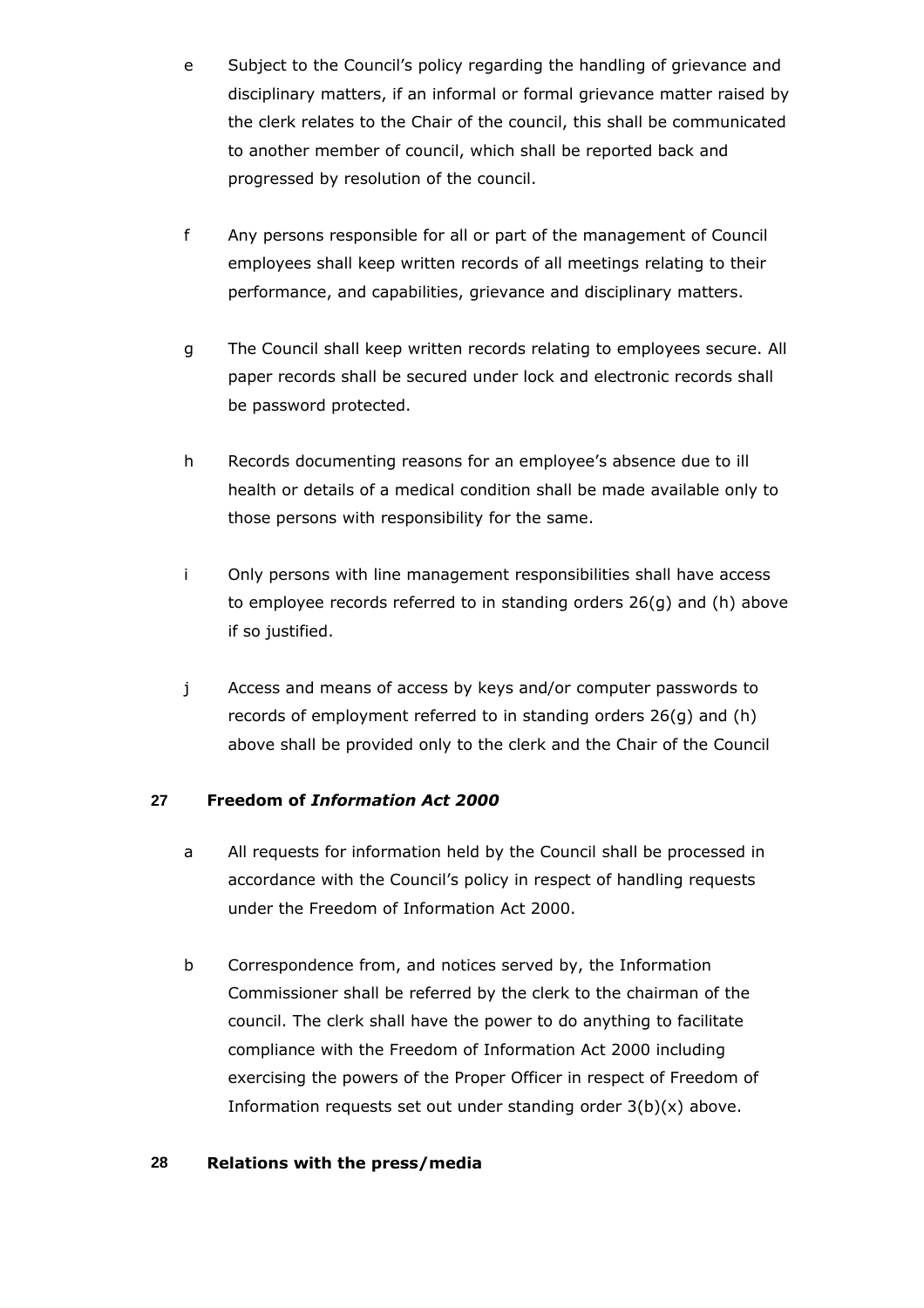- e Subject to the Council's policy regarding the handling of grievance and disciplinary matters, if an informal or formal grievance matter raised by the clerk relates to the Chair of the council, this shall be communicated to another member of council, which shall be reported back and progressed by resolution of the council.
- f Any persons responsible for all or part of the management of Council employees shall keep written records of all meetings relating to their performance, and capabilities, grievance and disciplinary matters.
- g The Council shall keep written records relating to employees secure. All paper records shall be secured under lock and electronic records shall be password protected.
- h Records documenting reasons for an employee's absence due to ill health or details of a medical condition shall be made available only to those persons with responsibility for the same.
- i Only persons with line management responsibilities shall have access to employee records referred to in standing orders 26(g) and (h) above if so justified.
- j Access and means of access by keys and/or computer passwords to records of employment referred to in standing orders 26(g) and (h) above shall be provided only to the clerk and the Chair of the Council

## **27 Freedom of** *Information Act 2000*

- a All requests for information held by the Council shall be processed in accordance with the Council's policy in respect of handling requests under the Freedom of Information Act 2000.
- b Correspondence from, and notices served by, the Information Commissioner shall be referred by the clerk to the chairman of the council. The clerk shall have the power to do anything to facilitate compliance with the Freedom of Information Act 2000 including exercising the powers of the Proper Officer in respect of Freedom of Information requests set out under standing order  $3(b)(x)$  above.

## **28 Relations with the press/media**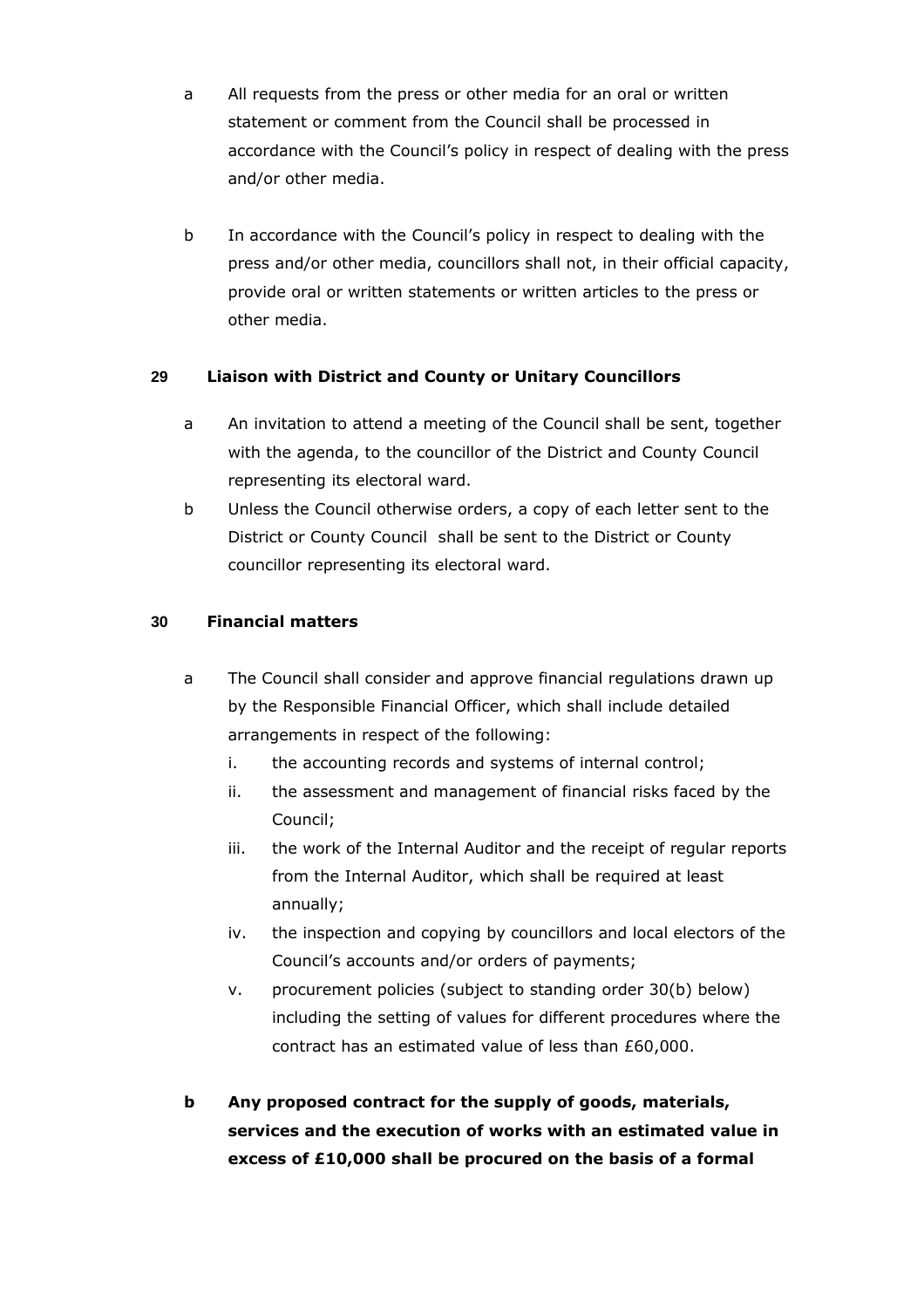- a All requests from the press or other media for an oral or written statement or comment from the Council shall be processed in accordance with the Council's policy in respect of dealing with the press and/or other media.
- b In accordance with the Council's policy in respect to dealing with the press and/or other media, councillors shall not, in their official capacity, provide oral or written statements or written articles to the press or other media.

# **29 Liaison with District and County or Unitary Councillors**

- a An invitation to attend a meeting of the Council shall be sent, together with the agenda, to the councillor of the District and County Council representing its electoral ward.
- b Unless the Council otherwise orders, a copy of each letter sent to the District or County Council shall be sent to the District or County councillor representing its electoral ward.

## **30 Financial matters**

- a The Council shall consider and approve financial regulations drawn up by the Responsible Financial Officer, which shall include detailed arrangements in respect of the following:
	- i. the accounting records and systems of internal control;
	- ii. the assessment and management of financial risks faced by the Council;
	- iii. the work of the Internal Auditor and the receipt of regular reports from the Internal Auditor, which shall be required at least annually;
	- iv. the inspection and copying by councillors and local electors of the Council's accounts and/or orders of payments;
	- v. procurement policies (subject to standing order 30(b) below) including the setting of values for different procedures where the contract has an estimated value of less than £60,000.
- **b Any proposed contract for the supply of goods, materials, services and the execution of works with an estimated value in excess of £10,000 shall be procured on the basis of a formal**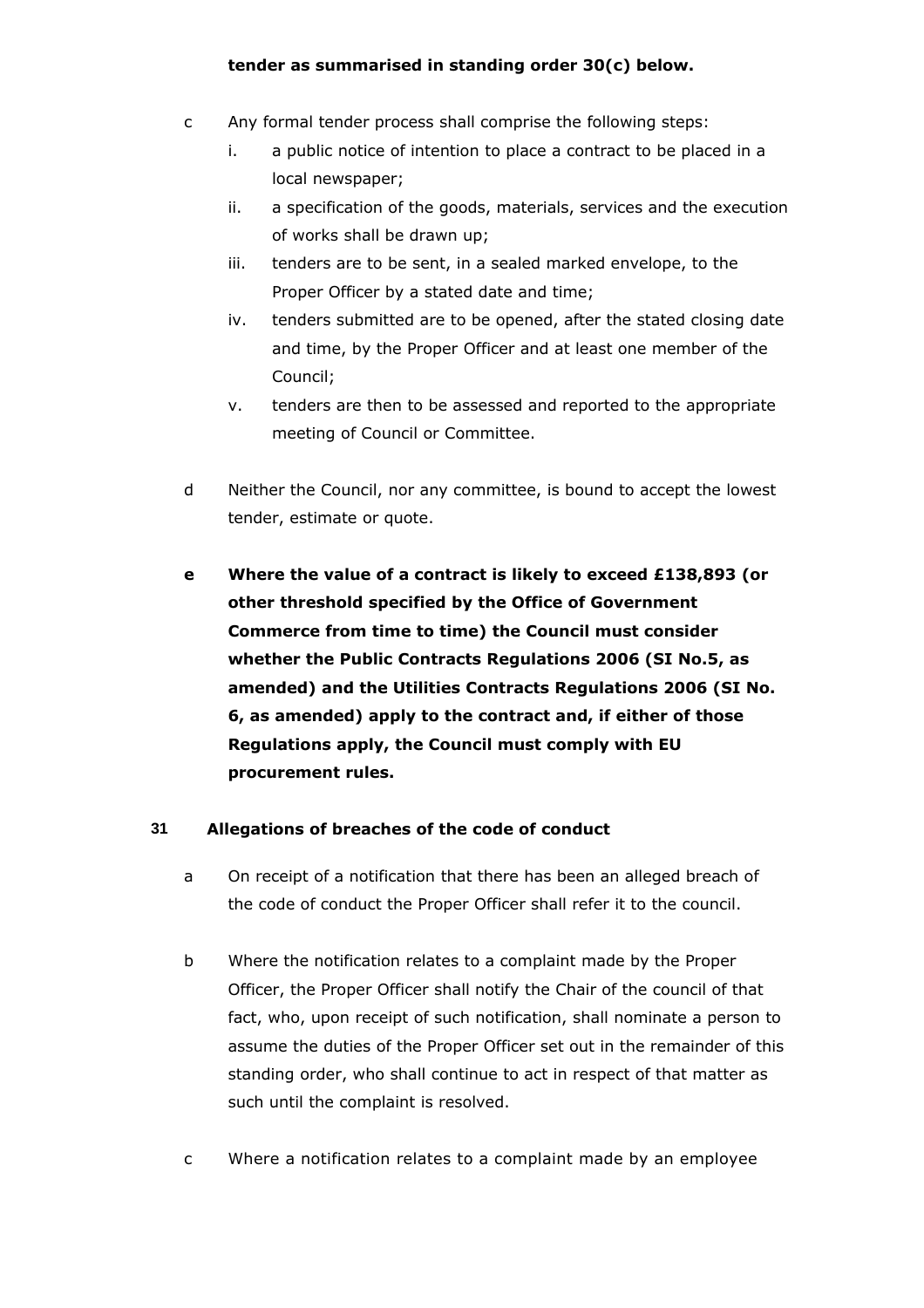## **tender as summarised in standing order 30(c) below.**

- c Any formal tender process shall comprise the following steps:
	- i. a public notice of intention to place a contract to be placed in a local newspaper;
	- ii. a specification of the goods, materials, services and the execution of works shall be drawn up;
	- iii. tenders are to be sent, in a sealed marked envelope, to the Proper Officer by a stated date and time;
	- iv. tenders submitted are to be opened, after the stated closing date and time, by the Proper Officer and at least one member of the Council;
	- v. tenders are then to be assessed and reported to the appropriate meeting of Council or Committee.
- d Neither the Council, nor any committee, is bound to accept the lowest tender, estimate or quote.
- **e Where the value of a contract is likely to exceed £138,893 (or other threshold specified by the Office of Government Commerce from time to time) the Council must consider whether the Public Contracts Regulations 2006 (SI No.5, as amended) and the Utilities Contracts Regulations 2006 (SI No. 6, as amended) apply to the contract and, if either of those Regulations apply, the Council must comply with EU procurement rules.**

# **31 Allegations of breaches of the code of conduct**

- a On receipt of a notification that there has been an alleged breach of the code of conduct the Proper Officer shall refer it to the council.
- b Where the notification relates to a complaint made by the Proper Officer, the Proper Officer shall notify the Chair of the council of that fact, who, upon receipt of such notification, shall nominate a person to assume the duties of the Proper Officer set out in the remainder of this standing order, who shall continue to act in respect of that matter as such until the complaint is resolved.
- c Where a notification relates to a complaint made by an employee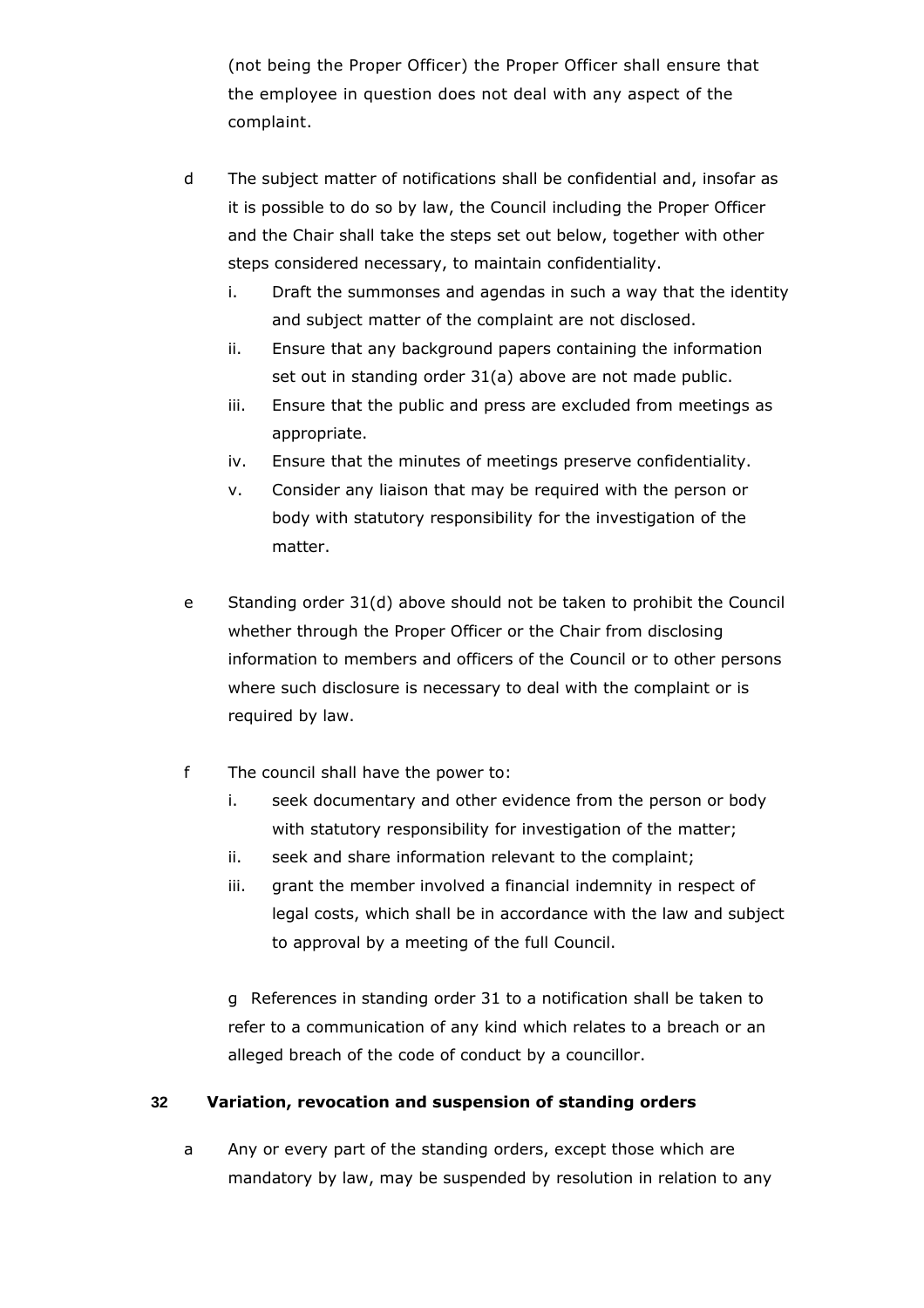(not being the Proper Officer) the Proper Officer shall ensure that the employee in question does not deal with any aspect of the complaint.

- d The subject matter of notifications shall be confidential and, insofar as it is possible to do so by law, the Council including the Proper Officer and the Chair shall take the steps set out below, together with other steps considered necessary, to maintain confidentiality.
	- i. Draft the summonses and agendas in such a way that the identity and subject matter of the complaint are not disclosed.
	- ii. Ensure that any background papers containing the information set out in standing order 31(a) above are not made public.
	- iii. Ensure that the public and press are excluded from meetings as appropriate.
	- iv. Ensure that the minutes of meetings preserve confidentiality.
	- v. Consider any liaison that may be required with the person or body with statutory responsibility for the investigation of the matter.
- e Standing order 31(d) above should not be taken to prohibit the Council whether through the Proper Officer or the Chair from disclosing information to members and officers of the Council or to other persons where such disclosure is necessary to deal with the complaint or is required by law.
- f The council shall have the power to:
	- i. seek documentary and other evidence from the person or body with statutory responsibility for investigation of the matter;
	- ii. seek and share information relevant to the complaint;
	- iii. grant the member involved a financial indemnity in respect of legal costs, which shall be in accordance with the law and subject to approval by a meeting of the full Council.

g References in standing order 31 to a notification shall be taken to refer to a communication of any kind which relates to a breach or an alleged breach of the code of conduct by a councillor.

# **32 Variation, revocation and suspension of standing orders**

a Any or every part of the standing orders, except those which are mandatory by law, may be suspended by resolution in relation to any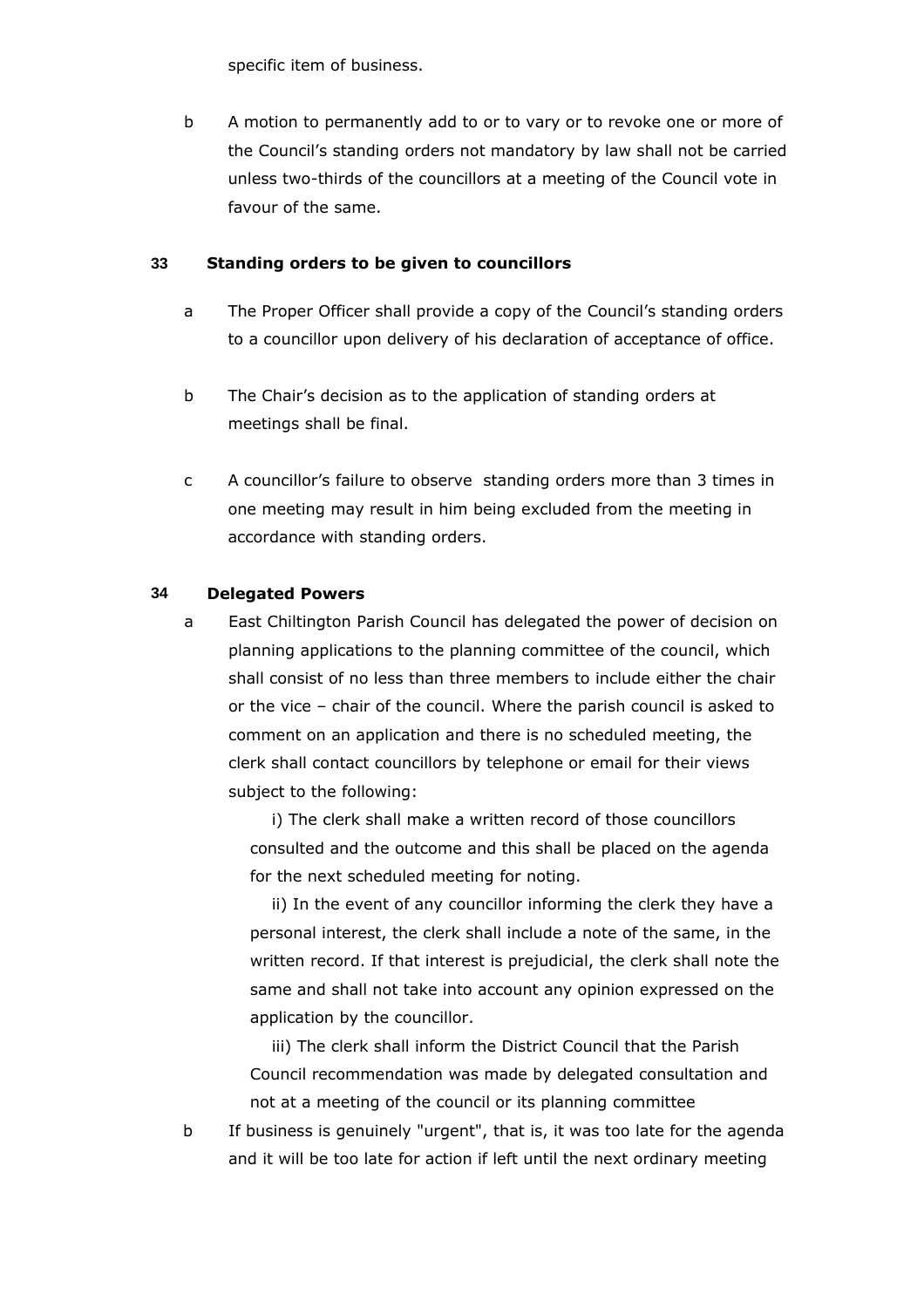specific item of business.

b A motion to permanently add to or to vary or to revoke one or more of the Council's standing orders not mandatory by law shall not be carried unless two-thirds of the councillors at a meeting of the Council vote in favour of the same.

## **33 Standing orders to be given to councillors**

- a The Proper Officer shall provide a copy of the Council's standing orders to a councillor upon delivery of his declaration of acceptance of office.
- b The Chair's decision as to the application of standing orders at meetings shall be final.
- c A councillor's failure to observe standing orders more than 3 times in one meeting may result in him being excluded from the meeting in accordance with standing orders.

## **34 Delegated Powers**

a East Chiltington Parish Council has delegated the power of decision on planning applications to the planning committee of the council, which shall consist of no less than three members to include either the chair or the vice – chair of the council. Where the parish council is asked to comment on an application and there is no scheduled meeting, the clerk shall contact councillors by telephone or email for their views subject to the following:

> i) The clerk shall make a written record of those councillors consulted and the outcome and this shall be placed on the agenda for the next scheduled meeting for noting.

ii) In the event of any councillor informing the clerk they have a personal interest, the clerk shall include a note of the same, in the written record. If that interest is prejudicial, the clerk shall note the same and shall not take into account any opinion expressed on the application by the councillor.

iii) The clerk shall inform the District Council that the Parish Council recommendation was made by delegated consultation and not at a meeting of the council or its planning committee

b If business is genuinely "urgent", that is, it was too late for the agenda and it will be too late for action if left until the next ordinary meeting